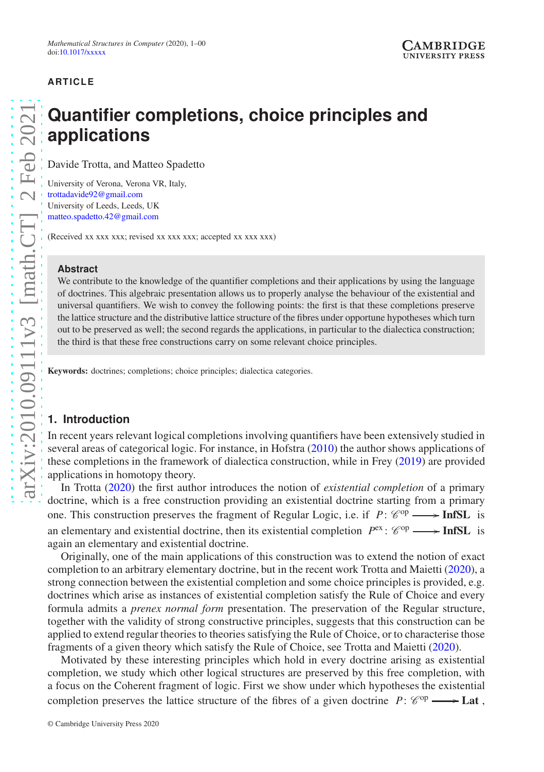## **ARTICLE**

# **Quantifier completions, choice principles and applications**

Davide Trotta, and Matteo Spadetto

University of Verona, Verona VR, Italy, [trottadavide92@gmail.com](mailto:trottadavide92@gmail.com) University of Leeds, Leeds, UK [matteo.spadetto.42@gmail.com](mailto:matteo.spadetto.42@gmail.com)

(Received xx xxx xxx; revised xx xxx xxx; accepted xx xxx xxx)

#### **Abstract**

We contribute to the knowledge of the quantifier completions and their applications by using the language of doctrines. This algebraic presentation allows us to properly analyse the behaviour of the existential and universal quantifiers. We wish to convey the following points: the first is that these completions preserve the lattice structure and the distributive lattice structure of the fibres under opportune hypotheses which turn out to be preserved as well; the second regards the applications, in particular to the dialectica construction; the third is that these free constructions carry on some relevant choice principles.

Keywords: doctrines; completions; choice principles; dialectica categories.

## **1. Introduction**

In recent years relevant logical completions involving quantifiers have been extensively studied in several areas of categorical logic. For instance, in Hofstra [\(2010](#page-21-0)) the author shows applications of these completions in the framework of dialectica construction, while in Frey [\(2019\)](#page-21-1) are provided applications in homotopy theory.

In Trotta [\(2020](#page-22-0)) the first author introduces the notion of *existential completion* of a primary doctrine, which is a free construction providing an existential doctrine starting from a primary one. This construction preserves the fragment of Regular Logic, i.e. if  $P: \mathcal{C}^{op} \longrightarrow \text{InfSL}$  is an elementary and existential doctrine, then its existential completion  $P^{\text{ex}}$ :  $\mathscr{C}^{\text{op}} \longrightarrow \text{InfSL}$  is again an elementary and existential doctrine.

Originally, one of the main applications of this construction was to extend the notion of exact completion to an arbitrary elementary doctrine, but in the recent work Trotta and Maietti [\(2020](#page-22-1)), a strong connection between the existential completion and some choice principles is provided, e.g. doctrines which arise as instances of existential completion satisfy the Rule of Choice and every formula admits a *prenex normal form* presentation. The preservation of the Regular structure, together with the validity of strong constructive principles, suggests that this construction can be applied to extend regular theories to theories satisfying the Rule of Choice, or to characterise those fragments of a given theory which satisfy the Rule of Choice, see Trotta and Maietti [\(2020](#page-22-1)).

Motivated by these interesting principles which hold in every doctrine arising as existential completion, we study which other logical structures are preserved by this free completion, with a focus on the Coherent fragment of logic. First we show under which hypotheses the existential completion preserves the lattice structure of the fibres of a given doctrine  $P: \mathcal{C}^{op} \longrightarrow \mathbf{Lat}$ ,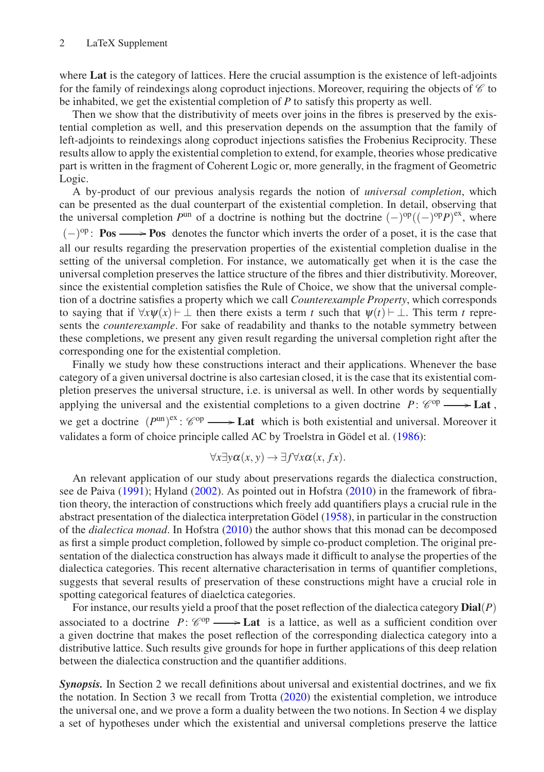where Lat is the category of lattices. Here the crucial assumption is the existence of left-adjoints for the family of reindexings along coproduct injections. Moreover, requiring the objects of  $\mathscr C$  to be inhabited, we get the existential completion of *P* to satisfy this property as well.

Then we show that the distributivity of meets over joins in the fibres is preserved by the existential completion as well, and this preservation depends on the assumption that the family of left-adjoints to reindexings along coproduct injections satisfies the Frobenius Reciprocity. These results allow to apply the existential completion to extend, for example, theories whose predicative part is written in the fragment of Coherent Logic or, more generally, in the fragment of Geometric Logic.

A by-product of our previous analysis regards the notion of *universal completion*, which can be presented as the dual counterpart of the existential completion. In detail, observing that the universal completion  $P^{\text{un}}$  of a doctrine is nothing but the doctrine  $(-)^{\text{op}}((-)^{\text{op}}P)^{\text{ex}}$ , where  $(-)$ <sup>op</sup>: **Pos**  $\longrightarrow$  **Pos** denotes the functor which inverts the order of a poset, it is the case that all our results regarding the preservation properties of the existential completion dualise in the setting of the universal completion. For instance, we automatically get when it is the case the universal completion preserves the lattice structure of the fibres and thier distributivity. Moreover, since the existential completion satisfies the Rule of Choice, we show that the universal completion of a doctrine satisfies a property which we call *Counterexample Property*, which corresponds to saying that if  $\forall x \psi(x) \vdash \bot$  then there exists a term *t* such that  $\psi(t) \vdash \bot$ . This term *t* represents the *counterexample*. For sake of readability and thanks to the notable symmetry between these completions, we present any given result regarding the universal completion right after the corresponding one for the existential completion.

Finally we study how these constructions interact and their applications. Whenever the base category of a given universal doctrine is also cartesian closed, it is the case that its existential completion preserves the universal structure, i.e. is universal as well. In other words by sequentially applying the universal and the existential completions to a given doctrine  $P: \mathcal{C}^{op} \longrightarrow \mathbf{Lat}$ , we get a doctrine  $(P^{\text{un}})^{ex}$ :  $\mathcal{C}^{\text{op}} \longrightarrow$  **Lat** which is both existential and universal. Moreover it validates a form of choice principle called AC by Troelstra in Gödel et al. [\(1986\)](#page-21-2):

$$
\forall x \exists y \alpha(x, y) \rightarrow \exists f \forall x \alpha(x, fx).
$$

An relevant application of our study about preservations regards the dialectica construction, see de Paiva [\(1991](#page-21-3)); Hyland [\(2002](#page-21-4)). As pointed out in Hofstra [\(2010\)](#page-21-0) in the framework of fibration theory, the interaction of constructions which freely add quantifiers plays a crucial rule in the abstract presentation of the dialectica interpretation Gödel [\(1958\)](#page-21-5), in particular in the construction of the *dialectica monad*. In Hofstra [\(2010\)](#page-21-0) the author shows that this monad can be decomposed as first a simple product completion, followed by simple co-product completion. The original presentation of the dialectica construction has always made it difficult to analyse the properties of the dialectica categories. This recent alternative characterisation in terms of quantifier completions, suggests that several results of preservation of these constructions might have a crucial role in spotting categorical features of diaelctica categories.

For instance, our results yield a proof that the poset reflection of the dialectica category Dial(*P*) associated to a doctrine  $P: \mathcal{C}^{op} \longrightarrow \mathbf{Lat}$  is a lattice, as well as a sufficient condition over a given doctrine that makes the poset reflection of the corresponding dialectica category into a distributive lattice. Such results give grounds for hope in further applications of this deep relation between the dialectica construction and the quantifier additions.

*Synopsis.* In Section 2 we recall definitions about universal and existential doctrines, and we fix the notation. In Section 3 we recall from Trotta [\(2020](#page-22-0)) the existential completion, we introduce the universal one, and we prove a form a duality between the two notions. In Section 4 we display a set of hypotheses under which the existential and universal completions preserve the lattice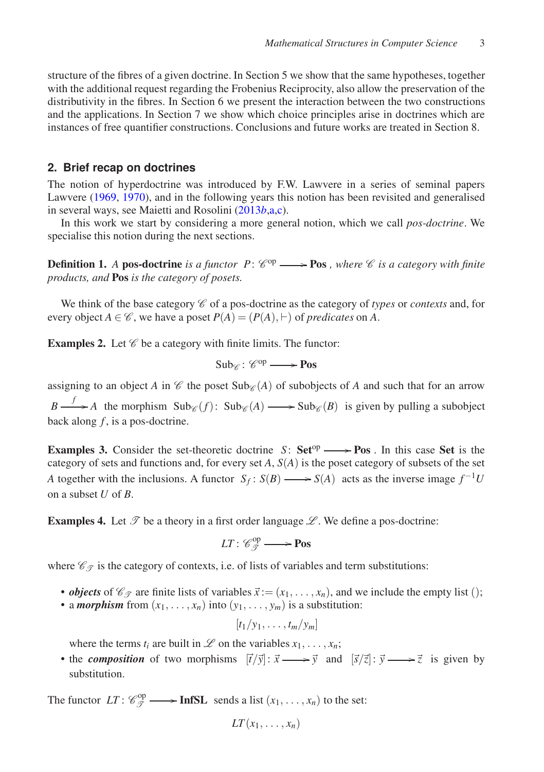structure of the fibres of a given doctrine. In Section 5 we show that the same hypotheses, together with the additional request regarding the Frobenius Reciprocity, also allow the preservation of the distributivity in the fibres. In Section 6 we present the interaction between the two constructions and the applications. In Section 7 we show which choice principles arise in doctrines which are instances of free quantifier constructions. Conclusions and future works are treated in Section 8.

#### **2. Brief recap on doctrines**

The notion of hyperdoctrine was introduced by F.W. Lawvere in a series of seminal papers Lawvere [\(1969,](#page-22-2) [1970\)](#page-22-3), and in the following years this notion has been revisited and generalised in several ways, see Maietti and Rosolini [\(2013](#page-22-4)*b*[,a](#page-22-5)[,c](#page-22-6)).

In this work we start by considering a more general notion, which we call *pos-doctrine*. We specialise this notion during the next sections.

**Definition 1.** A **pos-doctrine** is a functor  $P: \mathcal{C}^{op} \longrightarrow \mathbf{Pos}$  , where  $\mathcal{C}$  is a category with finite *products, and* Pos *is the category of posets.*

We think of the base category  $\mathscr C$  of a pos-doctrine as the category of *types* or *contexts* and, for every object  $A \in \mathcal{C}$ , we have a poset  $P(A) = (P(A), \vdash)$  of *predicates* on A.

<span id="page-2-0"></span>**Examples 2.** Let  $\mathscr{C}$  be a category with finite limits. The functor:

$$
\mathsf{Sub}_{\mathscr{C}}\colon \mathscr{C}^{op}\longrightarrow \mathbf{Pos}
$$

assigning to an object *A* in  $\mathscr C$  the poset Sub $\mathscr C(A)$  of subobjects of *A* and such that for an arrow  $B \longrightarrow A$  the morphism  $\text{Sub}_{\mathscr{C}}(f)$ :  $\text{Sub}_{\mathscr{C}}(A) \longrightarrow \text{Sub}_{\mathscr{C}}(B)$  is given by pulling a subobject back along *f* , is a pos-doctrine.

<span id="page-2-2"></span>**Examples 3.** Consider the set-theoretic doctrine *S*:  $Set^{op} \longrightarrow Pos$ . In this case Set is the category of sets and functions and, for every set *A*, *S*(*A*) is the poset category of subsets of the set *A* together with the inclusions. A functor  $S_f$ :  $S(B) \longrightarrow S(A)$  acts as the inverse image  $f^{-1}U$ on a subset *U* of *B*.

<span id="page-2-1"></span>**Examples 4.** Let  $\mathcal{T}$  be a theory in a first order language  $\mathcal{L}$ . We define a pos-doctrine:

$$
LT: \mathscr{C}_{\mathscr{T}}^{\mathrm{op}} \longrightarrow \mathbf{Pos}
$$

where  $\mathcal{C}_{\mathcal{T}}$  is the category of contexts, i.e. of lists of variables and term substitutions:

- *objects* of  $\mathcal{C}_{\mathcal{T}}$  are finite lists of variables  $\vec{x} := (x_1, \dots, x_n)$ , and we include the empty list ();
- a *morphism* from  $(x_1, \ldots, x_n)$  into  $(y_1, \ldots, y_m)$  is a substitution:

 $[t_1/y_1, \ldots, t_m/y_m]$ 

where the terms  $t_i$  are built in  $\mathcal L$  on the variables  $x_1, \ldots, x_n$ ;

• the *composition* of two morphisms  $[\vec{t}/\vec{y}] : \vec{x} \longrightarrow \vec{y}$  and  $[\vec{s}/\vec{z}] : \vec{y} \longrightarrow \vec{z}$  is given by substitution.

The functor  $LT: \mathcal{C}_{\mathcal{T}}^{\text{op}} \longrightarrow \text{InfSL}$  sends a list  $(x_1, \ldots, x_n)$  to the set:

$$
LT(x_1,\ldots,x_n)
$$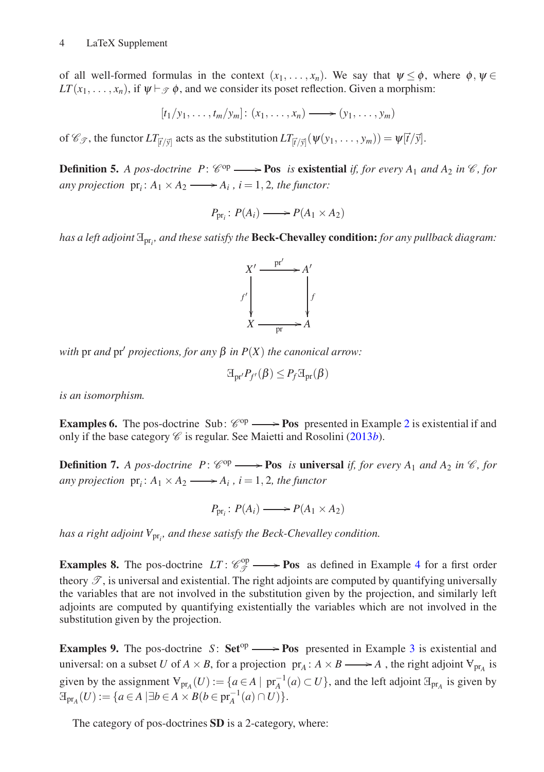of all well-formed formulas in the context  $(x_1, \ldots, x_n)$ . We say that  $\psi \leq \phi$ , where  $\phi, \psi \in$  $LT(x_1, \ldots, x_n)$ , if  $\psi \vdash_{\mathcal{P}} \phi$ , and we consider its poset reflection. Given a morphism:

$$
[t_1/y_1,\ldots,t_m/y_m]: (x_1,\ldots,x_n) \longrightarrow (y_1,\ldots,y_m)
$$

of  $\mathscr{C}_{\mathscr{T}}$ , the functor  $LT_{\vec{r}/\vec{y}}$  acts as the substitution  $LT_{\vec{r}/\vec{y}}(\psi(y_1, \dots, y_m)) = \psi[\vec{t}/\vec{y}].$ 

**Definition 5.** A pos-doctrine  $P: \mathcal{C}^{op} \longrightarrow \textbf{Pos}$  is existential if, for every  $A_1$  and  $A_2$  in  $\mathcal{C}$ , for *any projection*  $pr_i$ :  $A_1 \times A_2 \longrightarrow A_i$ ,  $i = 1, 2$ , the functor:

 $P_{\text{pr}_i}: P(A_i) \longrightarrow P(A_1 \times A_2)$ 

*has a left adjoint* <sup>E</sup>pr*<sup>i</sup> , and these satisfy the* Beck-Chevalley condition: *for any pullback diagram:*



*with* pr *and* pr′ *projections, for any* β *in P*(*X*) *the canonical arrow:*

$$
\mathbb{E}_{\mathrm{pr}'} P_{f'}(\beta) \leq P_f \mathbb{E}_{\mathrm{pr}}(\beta)
$$

*is an isomorphism.*

**Examples 6.** The pos-doctrine Sub:  $\mathcal{C}^{op} \longrightarrow \textbf{Pos}$  presented in Example [2](#page-2-0) is existential if and only if the base category  $\mathcal C$  is regular. See Maietti and Rosolini [\(2013](#page-22-4)*b*).

**Definition 7.** A pos-doctrine  $P: \mathcal{C}^{op} \longrightarrow \mathbf{Pos}$  *is* universal *if, for every*  $A_1$  *and*  $A_2$  *in*  $\mathcal{C}$ *, for any projection*  $pr_i: A_1 \times A_2 \longrightarrow A_i$ ,  $i = 1, 2$ , the functor

 $P_{\text{pr}_i}: P(A_i) \longrightarrow P(A_1 \times A_2)$ 

*has a right adjoint <sup>A</sup>* pr*i , and these satisfy the Beck-Chevalley condition.*

**Examples 8.** The pos-doctrine  $LT: \mathcal{C}_{\mathcal{T}}^{\text{op}} \longrightarrow \text{Pos}$  as defined in Example [4](#page-2-1) for a first order theory  $\mathscr{T}$ , is universal and existential. The right adjoints are computed by quantifying universally the variables that are not involved in the substitution given by the projection, and similarly left adjoints are computed by quantifying existentially the variables which are not involved in the substitution given by the projection.

**Examples 9.** The pos-doctrine *S*:  $Set^{op} \longrightarrow Pos$  presented in Example [3](#page-2-2) is existential and universal: on a subset *U* of  $A \times B$ , for a projection  $pr_A: A \times B \longrightarrow A$ , the right adjoint  $V_{pr_A}$  is given by the assignment  $\mathbb{V}_{pr_A}(U) := \{a \in A \mid pr_A^{-1}(a) \subset U\}$ , and the left adjoint  $\mathbb{F}_{pr_A}$  is given by  $\mathbb{E}_{\text{pr}_{A}}(U) := \{ a \in A \mid \exists b \in A \times B (b \in \text{pr}_{A}^{-1}(a) \cap U) \}.$ 

The category of pos-doctrines SD is a 2-category, where: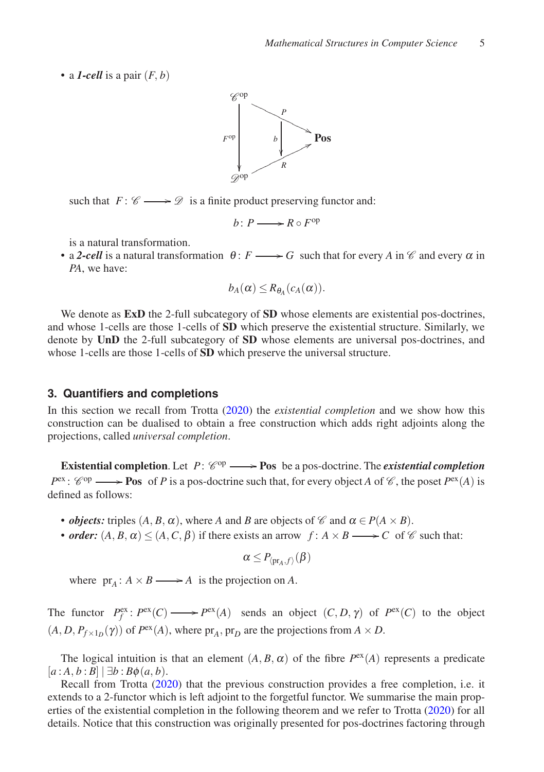• a *1-cell* is a pair  $(F, b)$ 



such that  $F: \mathscr{C} \longrightarrow \mathscr{D}$  is a finite product preserving functor and:

$$
b\colon P\longrightarrow R\circ F^{\mathrm{op}}
$$

is a natural transformation.

• a 2-cell is a natural transformation  $\theta: F \longrightarrow G$  such that for every *A* in  $\mathscr C$  and every  $\alpha$  in *PA*, we have:

$$
b_A(\alpha) \leq R_{\theta_A}(c_A(\alpha)).
$$

We denote as **ExD** the 2-full subcategory of **SD** whose elements are existential pos-doctrines, and whose 1-cells are those 1-cells of SD which preserve the existential structure. Similarly, we denote by UnD the 2-full subcategory of SD whose elements are universal pos-doctrines, and whose 1-cells are those 1-cells of **SD** which preserve the universal structure.

#### **3. Quantifiers and completions**

In this section we recall from Trotta [\(2020\)](#page-22-0) the *existential completion* and we show how this construction can be dualised to obtain a free construction which adds right adjoints along the projections, called *universal completion*.

**Existential completion**. Let  $P: \mathcal{C}^{op} \longrightarrow \mathbf{Pos}$  be a pos-doctrine. The *existential completion*  $P^{\text{ex}}$ :  $\mathcal{C}^{\text{op}} \longrightarrow$  **Pos** of *P* is a pos-doctrine such that, for every object *A* of  $\mathcal{C}$ , the poset  $P^{\text{ex}}(A)$  is defined as follows:

- *objects:* triples  $(A, B, \alpha)$ , where *A* and *B* are objects of  $\mathscr{C}$  and  $\alpha \in P(A \times B)$ .
- *order:*  $(A, B, \alpha) \leq (A, C, \beta)$  if there exists an arrow  $f: A \times B \longrightarrow C$  of  $\mathscr C$  such that:

$$
\alpha\leq P_{\langle \mathrm{pr}_{A},f\rangle}(\beta)
$$

where  $pr_A: A \times B \longrightarrow A$  is the projection on *A*.

The functor  $P_f^{\text{ex}}: P^{\text{ex}}(C) \longrightarrow P^{\text{ex}}(A)$  sends an object  $(C, D, \gamma)$  of  $P^{\text{ex}}(C)$  to the object  $(A, D, P_{f \times 1_D}(\gamma))$  of  $P^{ex}(A)$ , where  $pr_A$ ,  $pr_D$  are the projections from  $A \times D$ .

The logical intuition is that an element  $(A, B, \alpha)$  of the fibre  $P^{\text{ex}}(A)$  represents a predicate  $[a : A, b : B] | \exists b : B\phi(a, b).$ 

Recall from Trotta [\(2020\)](#page-22-0) that the previous construction provides a free completion, i.e. it extends to a 2-functor which is left adjoint to the forgetful functor. We summarise the main properties of the existential completion in the following theorem and we refer to Trotta [\(2020\)](#page-22-0) for all details. Notice that this construction was originally presented for pos-doctrines factoring through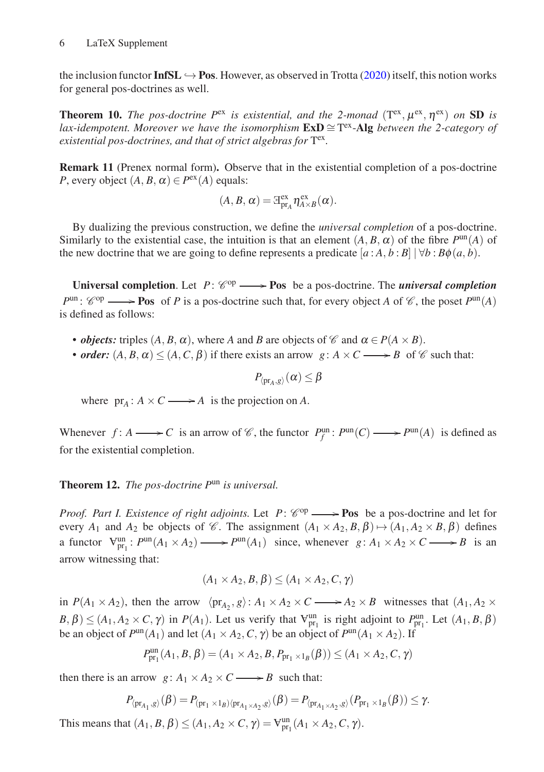the inclusion functor **InfSL**  $\rightarrow$  **Pos.** However, as observed in Trotta [\(2020\)](#page-22-0) itself, this notion works for general pos-doctrines as well.

<span id="page-5-0"></span>**Theorem 10.** The pos-doctrine  $P^{ex}$  is existential, and the 2-monad  $(T^{ex}, \mu^{ex}, \eta^{ex})$  on SD is *lax-idempotent. Moreover we have the isomorphism*  $\mathbf{ExD} \cong T^{\text{ex}}$ -Alg *between the 2-category of* existential pos-doctrines, and that of strict algebras for T<sup>ex</sup>.

<span id="page-5-1"></span>Remark 11 (Prenex normal form). Observe that in the existential completion of a pos-doctrine *P*, every object  $(A, B, \alpha) \in P^{\text{ex}}(A)$  equals:

$$
(A, B, \alpha) = \mathbb{E}_{pr_A}^{ex} \eta_{A \times B}^{ex}(\alpha).
$$

By dualizing the previous construction, we define the *universal completion* of a pos-doctrine. Similarly to the existential case, the intuition is that an element  $(A, B, \alpha)$  of the fibre  $P^{\text{un}}(A)$  of the new doctrine that we are going to define represents a predicate  $[a : A, b : B] | \forall b : B\phi(a, b)$ .

Universal completion. Let  $P: \mathcal{C}^{op} \longrightarrow \text{Pos}$  be a pos-doctrine. The *universal completion*  $P^{\text{un}}$ :  $\mathcal{C}^{\text{op}} \longrightarrow$  **Pos** of *P* is a pos-doctrine such that, for every object *A* of  $\mathcal{C}$ , the poset  $P^{\text{un}}(A)$ is defined as follows:

- *objects:* triples  $(A, B, \alpha)$ , where *A* and *B* are objects of  $\mathcal{C}$  and  $\alpha \in P(A \times B)$ .
- *order:*  $(A, B, \alpha) \leq (A, C, \beta)$  if there exists an arrow  $g: A \times C \longrightarrow B$  of C such that:

 $P_{\langle \mathrm{pr}_A, g \rangle}(\alpha) \leq \beta$ 

where  $pr_A: A \times C \longrightarrow A$  is the projection on *A*.

Whenever  $f: A \longrightarrow C$  is an arrow of  $\mathcal{C}$ , the functor  $P_f^{\text{un}}: P^{\text{un}}(C) \longrightarrow P^{\text{un}}(A)$  is defined as for the existential completion.

## Theorem 12. *The pos-doctrine P*un *is universal.*

*Proof. Part I. Existence of right adjoints.* Let  $P: \mathcal{C}^{op} \longrightarrow \textbf{Pos}$  be a pos-doctrine and let for every  $A_1$  and  $A_2$  be objects of  $\mathscr{C}$ . The assignment  $(A_1 \times A_2, B, \beta) \mapsto (A_1, A_2 \times B, \beta)$  defines a functor  $V_{pr_1}^{un}$ :  $P^{un}(A_1 \times A_2) \longrightarrow P^{un}(A_1)$  since, whenever  $g: A_1 \times A_2 \times C \longrightarrow B$  is an arrow witnessing that:

$$
(A_1 \times A_2, B, \beta) \le (A_1 \times A_2, C, \gamma)
$$

in  $P(A_1 \times A_2)$ , then the arrow  $\langle pr_{A_2}, g \rangle: A_1 \times A_2 \times C \longrightarrow A_2 \times B$  witnesses that  $(A_1, A_2 \times C)$  $B, \beta$ )  $\leq$  (*A*<sub>1</sub>, *A*<sub>2</sub>  $\times$  *C*,  $\gamma$ ) in *P*(*A*<sub>1</sub>). Let us verify that  $\nabla_{\text{pr}_1}^{\text{un}}$  is right adjoint to  $P_{\text{pr}_1}^{\text{un}}$ . Let (*A*<sub>1</sub>, *B*,  $\beta$ ) be an object of  $P^{\text{un}}(A_1)$  and let  $(A_1 \times A_2, C, \gamma)$  be an object of  $P^{\text{un}}(A_1 \times A_2)$ . If

$$
P_{\text{pr}_1}^{\text{un}}(A_1, B, \beta) = (A_1 \times A_2, B, P_{\text{pr}_1 \times 1_B}(\beta)) \le (A_1 \times A_2, C, \gamma)
$$

then there is an arrow  $g: A_1 \times A_2 \times C \longrightarrow B$  such that:

$$
P_{\langle \mathrm{pr}_{A_1}, g \rangle}(\beta) = P_{(\mathrm{pr}_1 \times 1_B) \langle \mathrm{pr}_{A_1 \times A_2}, g \rangle}(\beta) = P_{\langle \mathrm{pr}_{A_1 \times A_2}, g \rangle}(P_{\mathrm{pr}_1 \times 1_B}(\beta)) \leq \gamma.
$$

This means that  $(A_1, B, \beta) \le (A_1, A_2 \times C, \gamma) = \mathbb{V}_{pr_1}^{un}(A_1 \times A_2, C, \gamma)$ .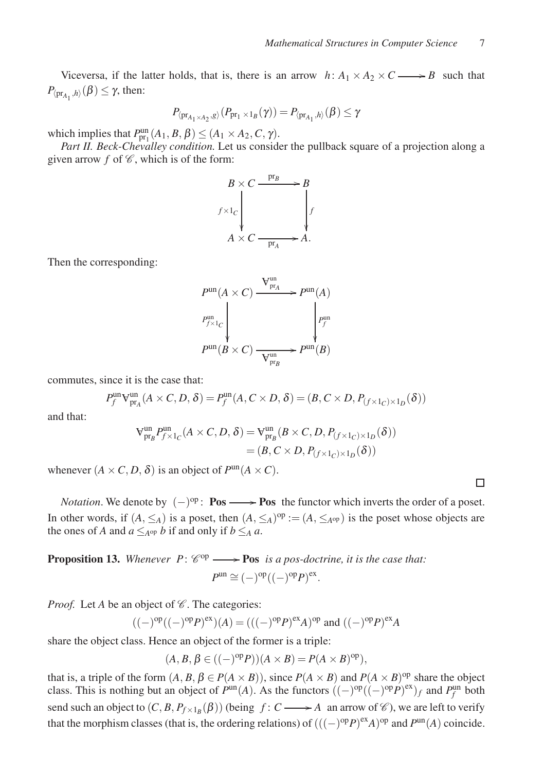Viceversa, if the latter holds, that is, there is an arrow  $h: A_1 \times A_2 \times C \longrightarrow B$  such that  $P_{\langle \text{pr}_{A_1}, h \rangle}(\beta) \leq \gamma$ , then:

$$
P_{\langle \operatorname{pr}_{A_1\times A_2}, g\rangle}(P_{\operatorname{pr}_1\times 1_B}(\gamma))=P_{\langle \operatorname{pr}_{A_1}, h\rangle}(\beta)\leq \gamma
$$

which implies that  $P_{\text{pr}_1}^{\text{un}}(A_1, B, \beta) \leq (A_1 \times A_2, C, \gamma)$ .

*Part II. Beck-Chevalley condition.* Let us consider the pullback square of a projection along a given arrow  $f$  of  $\mathscr{C}$ , which is of the form:



Then the corresponding:

$$
P^{\text{un}}(A \times C) \xrightarrow{\mathbf{V}_{\text{pr}_A}^{\text{un}}} P^{\text{un}}(A)
$$
\n
$$
P_{f \times 1_C}^{\text{un}} \downarrow \qquad \qquad P_f^{\text{un}}
$$
\n
$$
P^{\text{un}}(B \times C) \xrightarrow{\mathbf{V}_{\text{pr}_B}^{\text{un}}} P^{\text{un}}(B)
$$

commutes, since it is the case that:

$$
P_f^{\text{un}}\mathbf{V}_{\text{pr}_A}^{\text{un}}(A \times C, D, \delta) = P_f^{\text{un}}(A, C \times D, \delta) = (B, C \times D, P_{(f \times 1_C) \times 1_D}(\delta))
$$

and that:

$$
\mathsf{V}^{\text{un}}_{\text{pr}_{B}} P^{\text{un}}_{f \times 1_{C}}(A \times C, D, \delta) = \mathsf{V}^{\text{un}}_{\text{pr}_{B}}(B \times C, D, P_{(f \times 1_{C}) \times 1_{D}}(\delta))
$$

$$
= (B, C \times D, P_{(f \times 1_{C}) \times 1_{D}}(\delta))
$$

whenever  $(A \times C, D, \delta)$  is an object of  $P^{\text{un}}(A \times C)$ .

*Notation*. We denote by  $(-)^{op}$ : **Pos**  $\longrightarrow$  **Pos** the functor which inverts the order of a poset. In other words, if  $(A, \leq_A)$  is a poset, then  $(A, \leq_A)^{op} := (A, \leq_{A^{op}})$  is the poset whose objects are the ones of *A* and  $a \leq_{A^{op}} b$  if and only if  $b \leq_A a$ .

<span id="page-6-0"></span>**Proposition 13.** Whenever  $P: \mathcal{C}^{op} \longrightarrow \mathbf{Pos}$  *is a pos-doctrine, it is the case that:*  $P^{\text{un}} \cong (-)^{\text{op}}((-)^{\text{op}}P)^{\text{ex}}.$ 

*Proof.* Let *A* be an object of  $\mathscr C$ . The categories:

$$
((-)^{\text{op}}((-)^{\text{op}}P)^{\text{ex}})(A) = (((-)^{\text{op}}P)^{\text{ex}}A)^{\text{op}} \text{ and } ((-)^{\text{op}}P)^{\text{ex}}A
$$

share the object class. Hence an object of the former is a triple:

$$
(A, B, \beta \in ((-)^{\mathrm{op}} P))(A \times B) = P(A \times B)^{\mathrm{op}}),
$$

that is, a triple of the form  $(A, B, \beta \in P(A \times B))$ , since  $P(A \times B)$  and  $P(A \times B)$ <sup>op</sup> share the object class. This is nothing but an object of  $P^{un}(A)$ . As the functors  $((-)^{op} ((-)^{op} P)^{ex})_f$  and  $P_f^{un}$  both send such an object to  $(C, B, P_{f \times 1_B}(\beta))$  (being  $f: C \longrightarrow A$  an arrow of  $\mathscr{C}$ ), we are left to verify that the morphism classes (that is, the ordering relations) of  $(((-)^\text{op}P)^{\text{ex}}A)^\text{op}$  and  $P^{\text{un}}(A)$  coincide.

 $\Box$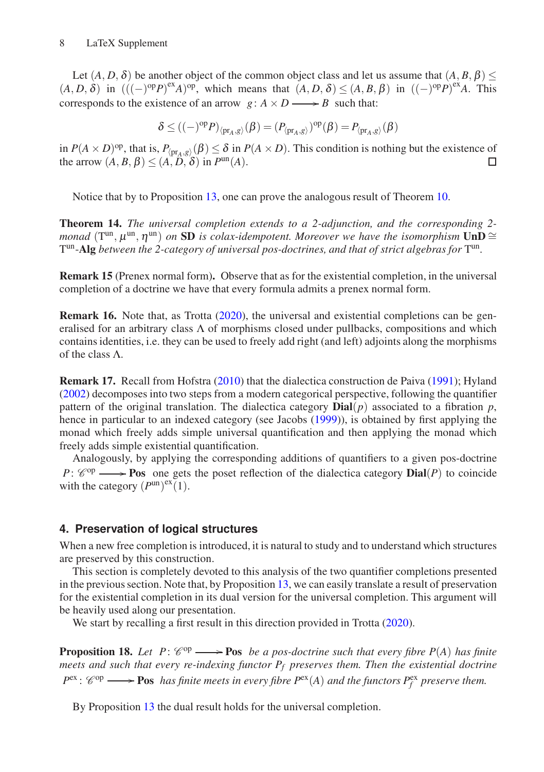Let  $(A, D, \delta)$  be another object of the common object class and let us assume that  $(A, B, \beta)$  $(A, D, \delta)$  in  $(((-)^{\text{op}}P)^{\text{ex}}A)^{\text{op}}$ , which means that  $(A, D, \delta) \leq (A, B, \beta)$  in  $((-)^{\text{op}}P)^{\text{ex}}A$ . This corresponds to the existence of an arrow  $g: A \times D \longrightarrow B$  such that:

$$
\delta \leq ((-)^{\mathrm{op}} P)_{\langle \mathrm{pr}_A, g \rangle}(\beta) = (P_{\langle \mathrm{pr}_A, g \rangle})^{\mathrm{op}}(\beta) = P_{\langle \mathrm{pr}_A, g \rangle}(\beta)
$$

in  $P(A \times D)$ <sup>op</sup>, that is,  $P_{\langle \text{pr}_A, g \rangle}(\beta) \leq \delta$  in  $P(A \times D)$ . This condition is nothing but the existence of the arrow  $(A, B, \beta) \leq (A, B, \delta)$  in  $P^{\text{un}}(A)$ .  $\Box$ 

Notice that by to Proposition [13,](#page-6-0) one can prove the analogous result of Theorem [10.](#page-5-0)

<span id="page-7-1"></span>Theorem 14. *The universal completion extends to a 2-adjunction, and the corresponding 2 monad* ( $T^{un}, \mu^{un}, \eta^{un}$ ) on SD is colax-idempotent. Moreover we have the isomorphism  $\text{UnD} \cong$ T<sup>un</sup>-Alg *between the 2-category of universal pos-doctrines, and that of strict algebras for* T<sup>un</sup>.

Remark 15 (Prenex normal form). Observe that as for the existential completion, in the universal completion of a doctrine we have that every formula admits a prenex normal form.

Remark 16. Note that, as Trotta [\(2020](#page-22-0)), the universal and existential completions can be generalised for an arbitrary class  $\Lambda$  of morphisms closed under pullbacks, compositions and which contains identities, i.e. they can be used to freely add right (and left) adjoints along the morphisms of the class Λ.

<span id="page-7-2"></span>Remark 17. Recall from Hofstra [\(2010](#page-21-0)) that the dialectica construction de Paiva [\(1991](#page-21-3)); Hyland [\(2002](#page-21-4)) decomposes into two steps from a modern categorical perspective, following the quantifier pattern of the original translation. The dialectica category  $\text{Dial}(p)$  associated to a fibration  $p$ , hence in particular to an indexed category (see Jacobs [\(1999](#page-22-7))), is obtained by first applying the monad which freely adds simple universal quantification and then applying the monad which freely adds simple existential quantification.

Analogously, by applying the corresponding additions of quantifiers to a given pos-doctrine  $P: \mathcal{C}^{op} \longrightarrow \textbf{Pos}$  one gets the poset reflection of the dialectica category **Dial**(*P*) to coincide with the category  $(P^{\text{un}})^{\text{ex}}(1)$ .

## **4. Preservation of logical structures**

When a new free completion is introduced, it is natural to study and to understand which structures are preserved by this construction.

This section is completely devoted to this analysis of the two quantifier completions presented in the previous section. Note that, by Proposition [13,](#page-6-0) we can easily translate a result of preservation for the existential completion in its dual version for the universal completion. This argument will be heavily used along our presentation.

We start by recalling a first result in this direction provided in Trotta [\(2020\)](#page-22-0).

<span id="page-7-0"></span>**Proposition 18.** Let  $P: \mathcal{C}^{op} \longrightarrow \mathbf{Pos}$  be a pos-doctrine such that every fibre  $P(A)$  has finite *meets and such that every re-indexing functor P<sup>f</sup> preserves them. Then the existential doctrine*  $P^{\text{ex}}$ :  $\mathscr{C}^{\text{op}} \longrightarrow \text{Pos}$  *has finite meets in every fibre*  $P^{\text{ex}}(A)$  *and the functors*  $P^{\text{ex}}_f$  *preserve them.* 

By Proposition [13](#page-6-0) the dual result holds for the universal completion.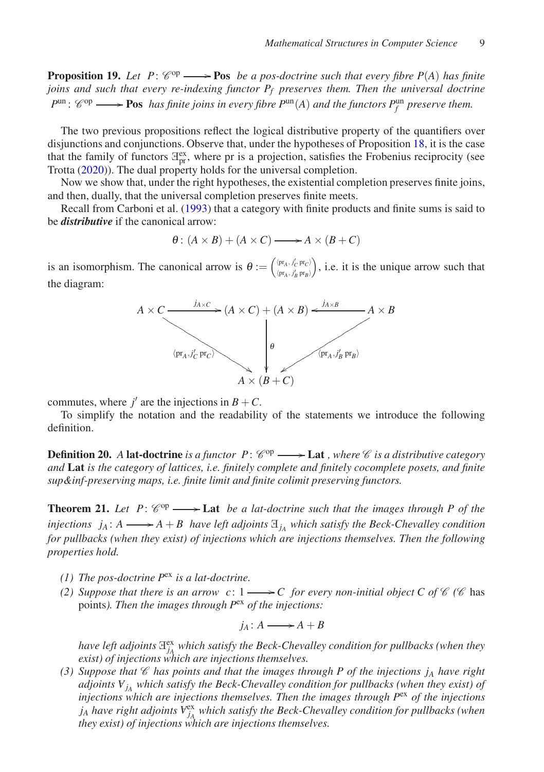**Proposition 19.** Let  $P: \mathcal{C}^{op} \longrightarrow \mathbf{Pos}$  be a pos-doctrine such that every fibre  $P(A)$  has finite *joins and such that every re-indexing functor P<sup>f</sup> preserves them. Then the universal doctrine*  $P^{\text{un}}$ :  $\mathscr{C}^{\text{op}} \longrightarrow$  **Pos** has finite joins in every fibre  $P^{\text{un}}(A)$  and the functors  $P_f^{\text{un}}$  preserve them.

The two previous propositions reflect the logical distributive property of the quantifiers over disjunctions and conjunctions. Observe that, under the hypotheses of Proposition [18,](#page-7-0) it is the case that the family of functors  $\mathbb{F}_{pr}^{\alpha}$ , where pr is a projection, satisfies the Frobenius reciprocity (see Trotta [\(2020](#page-22-0))). The dual property holds for the universal completion.

Now we show that, under the right hypotheses, the existential completion preserves finite joins, and then, dually, that the universal completion preserves finite meets.

Recall from Carboni et al. [\(1993](#page-21-6)) that a category with finite products and finite sums is said to be *distributive* if the canonical arrow:

$$
\theta: (A \times B) + (A \times C) \longrightarrow A \times (B + C)
$$

is an isomorphism. The canonical arrow is  $\theta := \left(\begin{matrix} \langle \text{pr}_A, j'_C & \text{pr}_C \rangle \\ \langle \text{pr}_A, j'_C & \text{pr}_C \rangle \end{matrix}\right)$  $\langle {\rm pr}_A\,,\,j'_B\;{\rm pr}_B\rangle$  , i.e. it is the unique arrow such that the diagram:



commutes, where  $j'$  are the injections in  $B + C$ .

To simplify the notation and the readability of the statements we introduce the following definition.

**Definition 20.** A lat-doctrine is a functor  $P: \mathcal{C}^{op} \longrightarrow$  Lat *, where*  $\mathcal{C}$  *is a distributive category and* Lat *is the category of lattices, i.e. finitely complete and finitely cocomplete posets, and finite sup&inf-preserving maps, i.e. finite limit and finite colimit preserving functors.*

<span id="page-8-0"></span>**Theorem 21.** Let  $P: \mathcal{C}^{op} \longrightarrow$  Lat *be a lat-doctrine such that the images through* P of the *injections*  $j_A$ :  $A \longrightarrow A + B$  *have left adjoints*  $\mathbb{E}_{j_A}$  *which satisfy the Beck-Chevalley condition for pullbacks (when they exist) of injections which are injections themselves. Then the following properties hold.*

- *(1) The pos-doctrine P*ex *is a lat-doctrine.*
- *(2) Suppose that there is an arrow c:*  $1 \rightarrow C$  *for every non-initial object C of*  $\mathcal{C}$  *(* $\mathcal{C}$  *has* points*). Then the images through P*ex *of the injections:*

$$
j_A \colon A \longrightarrow A + B
$$

have left adjoints  $\mathbb{H}_{A}^{\text{ex}}$  which satisfy the Beck-Chevalley condition for pullbacks (when they *exist) of injections which are injections themselves.*

(3) Suppose that  $\mathscr C$  *has points and that the images through P of the injections j<sub>A</sub> have right adjoints <sup>A</sup> <sup>j</sup><sup>A</sup> which satisfy the Beck-Chevalley condition for pullbacks (when they exist) of injections which are injections themselves. Then the images through P*ex *of the injections*  $j_A$  *have right adjoints*  $V_{j_A}^{\text{ex}}$  *which satisfy the Beck-Chevalley condition for pullbacks (when they exist) of injections which are injections themselves.*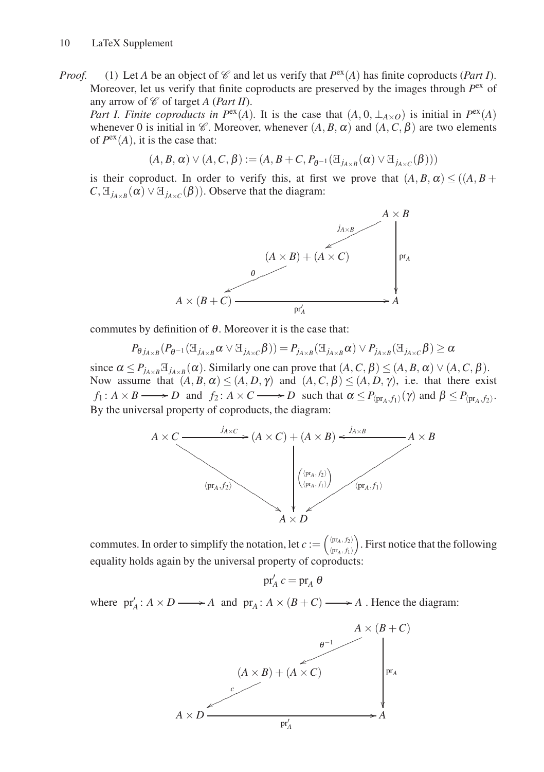*Proof.* (1) Let *A* be an object of  $\mathcal C$  and let us verify that  $P^{\text{ex}}(A)$  has finite coproducts (*Part I*). Moreover, let us verify that finite coproducts are preserved by the images through  $P<sup>ex</sup>$  of any arrow of  $\mathcal C$  of target *A* (*Part II*).

*Part I. Finite coproducts in*  $P^{ex}(A)$ *. It is the case that*  $(A, 0, \perp_{A\times O})$  *is initial in*  $P^{ex}(A)$ whenever 0 is initial in  $\mathcal{C}$ . Moreover, whenever  $(A, B, \alpha)$  and  $(A, C, \beta)$  are two elements of  $P^{ex}(A)$ , it is the case that:

$$
(A, B, \alpha) \vee (A, C, \beta) := (A, B + C, P_{\theta^{-1}}(\mathbb{E}_{j_{A \times B}}(\alpha) \vee \mathbb{E}_{j_{A \times C}}(\beta)))
$$

is their coproduct. In order to verify this, at first we prove that  $(A, B, \alpha) < ((A, B +$  $C, \mathcal{F}_{j_{A\times B}}(\alpha) \vee \mathcal{F}_{j_{A\times C}}(\beta)$ . Observe that the diagram:



commutes by definition of  $\theta$ . Moreover it is the case that:

$$
P_{\theta j_{A \times B}}(P_{\theta^{-1}}(\mathbb{E}_{j_{A \times B}} \alpha \vee \mathbb{E}_{j_{A \times C}} \beta)) = P_{j_{A \times B}}(\mathbb{E}_{j_{A \times B}} \alpha) \vee P_{j_{A \times B}}(\mathbb{E}_{j_{A \times C}} \beta) \ge \alpha
$$

since  $\alpha \le P_{j_{A\times B}} \mathbb{H}_{j_{A\times B}}(\alpha)$ . Similarly one can prove that  $(A, C, \beta) \le (A, B, \alpha) \vee (A, C, \beta)$ . Now assume that  $(A, B, \alpha) \le (A, D, \gamma)$  and  $(A, C, \beta) \le (A, D, \gamma)$ , i.e. that there exist *f*<sub>1</sub>:  $A \times B \longrightarrow D$  and  $f_2$ :  $A \times C \longrightarrow D$  such that  $\alpha \le P_{\langle pr_A, f_1 \rangle}(\gamma)$  and  $\beta \le P_{\langle pr_A, f_2 \rangle}$ . By the universal property of coproducts, the diagram:



commutes. In order to simplify the notation, let  $c := \begin{pmatrix} \frac{\ln A}{2} & f_2 \\ \frac{\ln A}{2} & f_1 \end{pmatrix}$  $\langle \text{pr}_A, f_1 \rangle$  . First notice that the following equality holds again by the universal property of coproducts:

 $pr'_A c = pr_A \theta$ 

where  $pr'_{A}: A \times D \longrightarrow A$  and  $pr_{A}: A \times (B + C) \longrightarrow A$ . Hence the diagram:

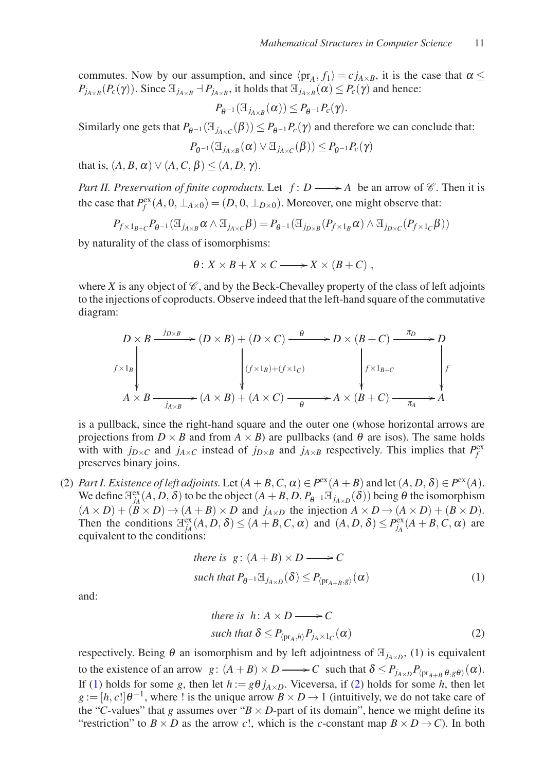commutes. Now by our assumption, and since  $\langle \text{pr}_A, f_1 \rangle = c j_{A \times B}$ , it is the case that  $\alpha \leq$  $P_{j_{A\times B}}(P_c(\gamma))$ . Since  $\exists_{j_{A\times B}} \dashv P_{j_{A\times B}}$ , it holds that  $\exists_{j_{A\times B}}(\alpha) \le P_c(\gamma)$  and hence:

$$
P_{\theta^{-1}}(\mathcal{I}_{j_{A\times B}}(\alpha)) \leq P_{\theta^{-1}}P_c(\gamma).
$$

Similarly one gets that  $P_{\theta^{-1}}(\mathcal{F}_{j_{A \times C}}(\beta)) \le P_{\theta^{-1}}P_c(\gamma)$  and therefore we can conclude that:

$$
P_{\theta^{-1}}(\mathcal{A}_{j_{A\times B}}(\alpha) \vee \mathcal{A}_{j_{A\times C}}(\beta)) \leq P_{\theta^{-1}}P_c(\gamma)
$$

that is,  $(A, B, \alpha) \vee (A, C, \beta) \leq (A, D, \gamma)$ .

*Part II. Preservation of finite coproducts.* Let  $f: D \longrightarrow A$  be an arrow of  $\mathscr{C}$ . Then it is the case that  $P_f^{\text{ex}}(A, 0, \perp_{A \times 0}) = (D, 0, \perp_{D \times 0})$ . Moreover, one might observe that:

$$
P_{f\times 1_{B+C}}P_{\theta^{-1}}(\mathbb{E}_{j_{A\times B}}\alpha\wedge \mathbb{E}_{j_{A\times C}}\beta)=P_{\theta^{-1}}(\mathbb{E}_{j_{D\times B}}(P_{f\times 1_B}\alpha)\wedge \mathbb{E}_{j_{D\times C}}(P_{f\times 1_C}\beta))
$$

by naturality of the class of isomorphisms:

$$
\theta: X \times B + X \times C \longrightarrow X \times (B + C) ,
$$

where *X* is any object of  $\mathcal C$ , and by the Beck-Chevalley property of the class of left adjoints to the injections of coproducts. Observe indeed that the left-hand square of the commutative diagram:

$$
D \times B \xrightarrow{j_{D \times B}} (D \times B) + (D \times C) \xrightarrow{\theta} D \times (B + C) \xrightarrow{\pi_D} D
$$
  

$$
\downarrow^{f \times 1_B} \qquad \qquad \downarrow^{f \times 1_{B} + (f \times 1_C)} \qquad \qquad \downarrow^{f \times 1_{B} + C} \qquad \qquad \downarrow^{f}
$$
  

$$
A \times B \xrightarrow{j_{A \times B}} (A \times B) + (A \times C) \xrightarrow{\theta} A \times (B + C) \xrightarrow{\pi_A} A
$$

is a pullback, since the right-hand square and the outer one (whose horizontal arrows are projections from  $D \times B$  and from  $A \times B$ ) are pullbacks (and  $\theta$  are isos). The same holds with with  $j_{D\times C}$  and  $j_{A\times C}$  instead of  $j_{D\times B}$  and  $j_{A\times B}$  respectively. This implies that  $P_f^{\text{ex}}$ preserves binary joins.

(2) *Part I. Existence of left adjoints.* Let  $(A + B, C, \alpha) \in P^{\text{ex}}(A + B)$  and let  $(A, D, \delta) \in P^{\text{ex}}(A)$ . We define  $\exists_{j_A}^{ex}(A, D, \delta)$  to be the object  $(A + B, D, P_{\theta^{-1}} \exists_{j_{A \times D}}(\delta))$  being  $\theta$  the isomorphism  $(A \times D) + (B \times D) \rightarrow (A + B) \times D$  and  $j_{A \times D}$  the injection  $A \times D \rightarrow (A \times D) + (B \times D)$ . Then the conditions  $\lim_{j_A} (A, D, \delta) \le (A + B, C, \alpha)$  and  $(A, D, \delta) \le P_{j_A}^{\text{ex}}(A + B, C, \alpha)$  are equivalent to the conditions:

there is 
$$
g: (A + B) \times D \longrightarrow C
$$
  
such that  $P_{\theta^{-1}} \mathcal{F}_{j_{A \times D}}(\delta) \leq P_{\langle \text{pr}_{A+B}, g \rangle}(\alpha)$  (1)

and:

<span id="page-10-1"></span><span id="page-10-0"></span>there is 
$$
h: A \times D \longrightarrow C
$$
  
such that  $\delta \leq P_{\langle \text{pr}_A, h \rangle} P_{j_A \times 1_C}(\alpha)$  (2)

respectively. Being  $\theta$  an isomorphism and by left adjointness of  $\mathbb{E}_{j_{A\times D}}$ , (1) is equivalent to the existence of an arrow  $g: (A + B) \times D \longrightarrow C$  such that  $\delta \le P_{j_{A \times D}} P_{\langle pr_{A+B} \theta, g \theta \rangle}(\alpha)$ . If [\(1\)](#page-10-0) holds for some *g*, then let  $h := g\theta j_{A\times D}$ . Viceversa, if [\(2\)](#page-10-1) holds for some *h*, then let  $g := [h, c] \theta^{-1}$ , where ! is the unique arrow  $B \times D \rightarrow 1$  (intuitively, we do not take care of the "*C*-values" that *g* assumes over " $B \times D$ -part of its domain", hence we might define its "restriction" to  $B \times D$  as the arrow *c*!, which is the *c*-constant map  $B \times D \rightarrow C$ ). In both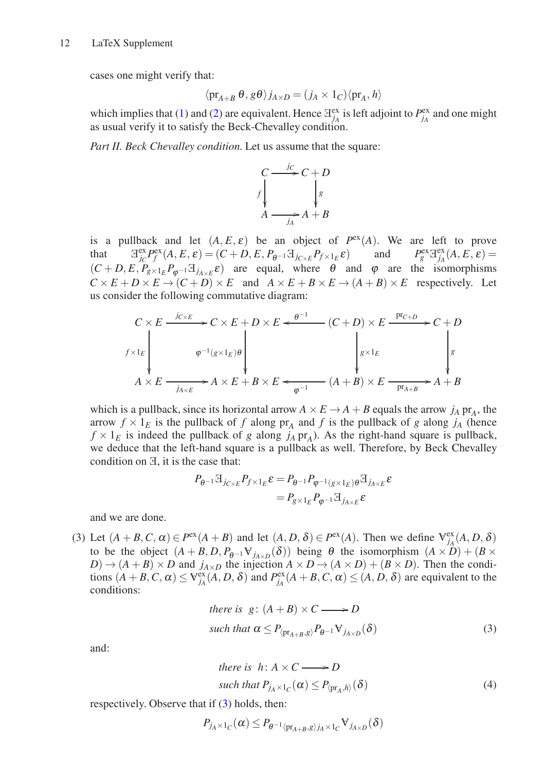cases one might verify that:

$$
\langle \mathrm{pr}_{A+B} \theta, g\theta \rangle j_{A \times D} = (j_A \times 1_C) \langle \mathrm{pr}_A, h \rangle
$$

which implies that [\(1\)](#page-10-0) and [\(2\)](#page-10-1) are equivalent. Hence  $\mathbb{H}_{j_A}^{\text{ex}}$  is left adjoint to  $P_{j_A}^{\text{ex}}$  and one might as usual verify it to satisfy the Beck-Chevalley condition.

*Part II. Beck Chevalley condition.* Let us assume that the square:



is a pullback and let  $(A, E, \varepsilon)$  be an object of  $P^{\text{ex}}(A)$ . We are left to prove that  $\mathbb{H}^{\text{ex}}_{jc} P^{\text{ex}}_f(A, E, \varepsilon) = (C + D, E, P_{\theta^{-1}} \mathbb{H}_{j_{C \times E}} P_{f \times 1_E} \varepsilon)$  and  $P^{\text{ex}}_g \mathbb{H}^{\text{ex}}_{j_A}(A, E, \varepsilon) =$  $(C + D, E, P_{g \times 1_E} P_{\varphi^{-1}} \mathcal{F}_{j_{A \times E}} \varepsilon)$  are equal, where  $\theta$  and  $\varphi$  are the isomorphisms  $C \times E + D \times E \rightarrow (C + D) \times E$  and  $A \times E + B \times E \rightarrow (A + B) \times E$  respectively. Let us consider the following commutative diagram:

$$
C \times E \xrightarrow{j_{C \times E}} C \times E + D \times E \xleftarrow{\theta^{-1}} (C + D) \times E \xrightarrow{\text{pr}_{C+D}} C + D
$$
\n
$$
\downarrow^{f \times 1_E} \downarrow^{\phi^{-1}(g \times 1_E)\theta} \downarrow^{\text{pr}_{C+D}} \downarrow^{\text{pr}_{C+D}} \downarrow^{\text{pr}_{C+D}} \downarrow^{\text{pr}_{C+D}} \downarrow^{\text{pr}_{C+D}} \downarrow^{\text{pr}_{C+D}} \downarrow^{\text{pr}_{C+D}} \downarrow^{\text{pr}_{C+D}} \downarrow^{\text{pr}_{C+D}} \downarrow^{\text{pr}_{C+D}} \downarrow^{\text{pr}_{C+D}} \downarrow^{\text{pr}_{C+D}} \downarrow^{\text{pr}_{C+D}} \downarrow^{\text{pr}_{C+D}} \downarrow^{\text{pr}_{C+D}} \downarrow^{\text{pr}_{C+D}} \downarrow^{\text{pr}_{C+D}} \downarrow^{\text{pr}_{C+D}} \downarrow^{\text{pr}_{C+D}} \downarrow^{\text{pr}_{C+D}} \downarrow^{\text{pr}_{C+D}} \downarrow^{\text{pr}_{C+D}} \downarrow^{\text{pr}_{C+D}} \downarrow^{\text{pr}_{C+D}} \downarrow^{\text{pr}_{C+D}} \downarrow^{\text{pr}_{C+D}} \downarrow^{\text{pr}_{C+D}} \downarrow^{\text{pr}_{C+D}} \downarrow^{\text{pr}_{C+D}} \downarrow^{\text{pr}_{C+D}} \downarrow^{\text{pr}_{C+D}} \downarrow^{\text{pr}_{C+D}} \downarrow^{\text{pr}_{C+D}} \downarrow^{\text{pr}_{C+D}} \downarrow^{\text{pr}_{C+D}} \downarrow^{\text{pr}_{C+D}} \downarrow^{\text{pr}_{C+D}} \downarrow^{\text{pr}_{C+D}} \downarrow^{\text{pr}_{C+D}} \downarrow^{\text{pr}_{C+D}} \downarrow^{\text{pr}_{C+D}} \downarrow^{\text{pr}_{C+D}} \downarrow^{\text{pr}_{C+D}} \downarrow^{\text{pr}_{C+D}} \downarrow^{\text{pr}_{C+D}} \downarrow^{\text{pr}_{C+D}} \downarrow^{\text{pr}_{C}} \downarrow^{\text{pr}_{C}} \downarrow^{\text{pr}_{C}} \downarrow^{\text{pr}_{C}} \downarrow^{\text{pr}_{C}} \downarrow^{\text{pr}_{C}} \down
$$

which is a pullback, since its horizontal arrow  $A \times E \rightarrow A + B$  equals the arrow  $j_A$  pr<sub>A</sub>, the arrow  $f \times 1<sub>E</sub>$  is the pullback of *f* along  $pr_A$  and *f* is the pullback of *g* along *j<sub>A</sub>* (hence  $f \times 1_E$  is indeed the pullback of *g* along *j<sub>A</sub>* pr<sub>A</sub>). As the right-hand square is pullback, we deduce that the left-hand square is a pullback as well. Therefore, by Beck Chevalley condition on <sup>E</sup>, it is the case that:

$$
P_{\theta^{-1}} \mathbb{E}_{j_{C \times E}} P_{f \times 1_E} \varepsilon = P_{\theta^{-1}} P_{\varphi^{-1}(g \times 1_E) \theta} \mathbb{E}_{j_{A \times E}} \varepsilon
$$
  
= 
$$
P_{g \times 1_E} P_{\varphi^{-1}} \mathbb{E}_{j_{A \times E}} \varepsilon
$$

and we are done.

(3) Let  $(A + B, C, \alpha) \in P^{\text{ex}}(A + B)$  and let  $(A, D, \delta) \in P^{\text{ex}}(A)$ . Then we define  $\forall_{j_A}^{\text{ex}}(A, D, \delta)$ to be the object  $(A + B, D, P_{\theta^{-1}} V_{j_{A \times D}}(\delta))$  being  $\theta$  the isomorphism  $(A \times D) + (B \times D)$  $D$ )  $\rightarrow$   $(A + B) \times D$  and *j*<sub>*A*×*D*</sub> the injection  $A \times D \rightarrow (A \times D) + (B \times D)$ . Then the conditions  $(A + B, C, \alpha) \le \forall_{j_A}^{\text{ex}}(A, D, \delta)$  and  $P_{j_A}^{\text{ex}}(A + B, C, \alpha) \le (A, D, \delta)$  are equivalent to the conditions:

there is 
$$
g: (A + B) \times C \longrightarrow D
$$
  
such that  $\alpha \le P_{\langle pr_{A+B}, g \rangle} P_{\theta^{-1}} \mathbf{V}_{j_{A \times D}}(\delta)$  (3)

and:

<span id="page-11-1"></span><span id="page-11-0"></span>there is 
$$
h: A \times C \longrightarrow D
$$
  
such that  $P_{j_A \times 1_C}(\alpha) \leq P_{\langle \text{pr}_A, h \rangle}(\delta)$  (4)

respectively. Observe that if [\(3\)](#page-11-0) holds, then:

$$
P_{j_A \times 1_C}(\alpha) \le P_{\theta^{-1} \langle pr_{A+B}, g \rangle j_A \times 1_C} \mathbf{V}_{j_{A \times D}}(\delta)
$$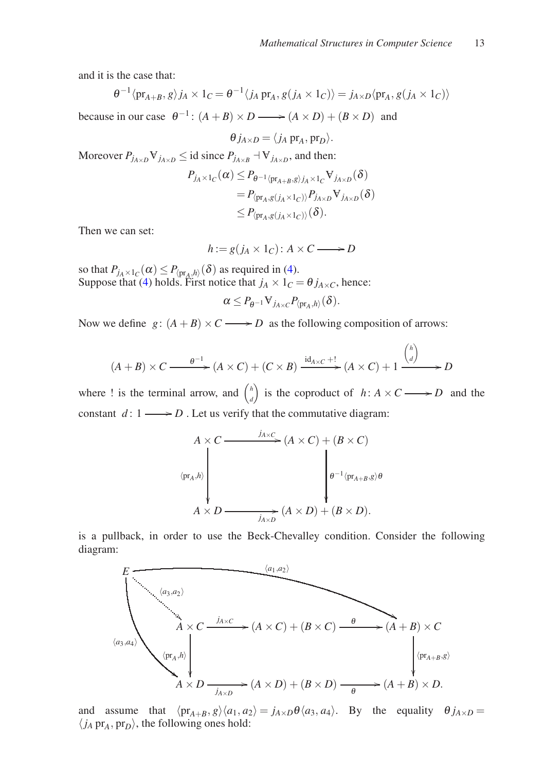and it is the case that:

$$
\theta^{-1} \langle \mathrm{pr}_{A+B}, g \rangle j_A \times 1_C = \theta^{-1} \langle j_A \mathrm{pr}_A, g(j_A \times 1_C) \rangle = j_{A \times D} \langle \mathrm{pr}_A, g(j_A \times 1_C) \rangle
$$

because in our case  $\theta^{-1}$ :  $(A + B) \times D \longrightarrow (A \times D) + (B \times D)$  and

$$
\theta j_{A\times D} = \langle j_A \operatorname{pr}_A, \operatorname{pr}_D \rangle.
$$

Moreover  $P_{j_{A\times D}} \nabla_{j_{A\times D}} \leq$  id since  $P_{j_{A\times B}} \dashv \nabla_{j_{A\times D}}$ , and then:  $P_{j_A \times 1_C}(\alpha) \leq P_{\theta^{-1} \langle \text{pr}_{A+B}, g \rangle j_A \times 1_C} V_{j_{A \times D}}(\delta)$ 

$$
= P_{\langle \mathrm{pr}_{A}, g(j_{A} \times 1_{C}) \rangle} P_{j_{A \times D}} \nabla_{j_{A \times D}} (\delta)
$$
  

$$
\leq P_{\langle \mathrm{pr}_{A}, g(j_{A} \times 1_{C}) \rangle} (\delta).
$$

Then we can set:

$$
h := g(j_A \times 1_C) : A \times C \longrightarrow D
$$

so that  $P_{j_A \times 1_C}(\alpha) \leq P_{\langle \text{pr}_A, h \rangle}(\delta)$  as required in [\(4\)](#page-11-1). Suppose that [\(4\)](#page-11-1) holds. First notice that  $j_A \times 1_C = \theta j_{A \times C}$ , hence:

$$
\alpha\leq P_{\theta^{-1}}\textup{\textbf{V}}_{j_{A\times C}}P_{\langle \operatorname{pr}_A,h\rangle}(\delta).
$$

Now we define  $g: (A + B) \times C \longrightarrow D$  as the following composition of arrows:

$$
(A + B) \times C \xrightarrow{\theta^{-1}} (A \times C) + (C \times B) \xrightarrow{id_{A \times C} +!} (A \times C) + 1 \xrightarrow{\binom{h}{d}} D
$$

where ! is the terminal arrow, and  $\binom{h}{d}$ *d* is the coproduct of  $h: A \times C \longrightarrow D$  and the constant  $d: 1 \longrightarrow D$ . Let us verify that the commutative diagram:

$$
A \times C \xrightarrow{j_{A \times C}} (A \times C) + (B \times C)
$$
  
\n
$$
\langle \text{pr}_{A}, h \rangle \downarrow \qquad \qquad \downarrow \qquad \qquad \downarrow \qquad \downarrow \qquad \downarrow \qquad \downarrow \qquad \downarrow \qquad \downarrow \qquad \downarrow \qquad \downarrow \qquad \downarrow \qquad \downarrow \qquad \downarrow \qquad \downarrow \qquad \downarrow \qquad \downarrow \qquad \downarrow \qquad \downarrow \qquad \downarrow \qquad \downarrow \qquad \downarrow \qquad \downarrow \qquad \downarrow \qquad \downarrow \qquad \downarrow \qquad \downarrow \qquad \downarrow \qquad \downarrow \qquad \downarrow \qquad \downarrow \qquad \downarrow \qquad \downarrow \qquad \downarrow \qquad \downarrow \qquad \downarrow \qquad \downarrow \qquad \downarrow \qquad \downarrow \qquad \downarrow \qquad \downarrow \qquad \downarrow \qquad \downarrow \qquad \downarrow \qquad \downarrow \qquad \downarrow \qquad \downarrow \qquad \downarrow \qquad \downarrow \qquad \downarrow \qquad \downarrow \qquad \downarrow \qquad \downarrow \qquad \downarrow \qquad \downarrow \qquad \downarrow \qquad \downarrow \qquad \downarrow \qquad \downarrow \qquad \downarrow \qquad \downarrow \qquad \downarrow \qquad \downarrow \qquad \downarrow \qquad \downarrow \qquad \downarrow \qquad \downarrow \qquad \downarrow \qquad \downarrow \qquad \downarrow \qquad \downarrow \qquad \downarrow \qquad \downarrow \qquad \downarrow \qquad \downarrow \qquad \downarrow \qquad \downarrow \qquad \downarrow \qquad \downarrow \qquad \downarrow \qquad \downarrow \qquad \downarrow \qquad \downarrow \qquad \downarrow \qquad \downarrow \qquad \downarrow \qquad \downarrow \qquad \downarrow \qquad \downarrow \qquad \downarrow \qquad \downarrow \qquad \downarrow \qquad \downarrow \qquad \downarrow \qquad \downarrow \qquad \downarrow \qquad \downarrow \qquad \downarrow \qquad \downarrow \qquad \downarrow \qquad \downarrow \qquad \downarrow \qquad \downarrow \qquad \downarrow \qquad \downarrow \qquad \downarrow \qquad \downarrow \qquad \downarrow \qquad \downarrow \qquad \downarrow \qquad \downarrow \qquad \downarrow \qquad \downarrow \qquad \downarrow \qquad \downarrow \qquad \downarrow \qquad \downarrow \qquad \downarrow \qquad \down
$$

is a pullback, in order to use the Beck-Chevalley condition. Consider the following diagram:



and assume that  $\langle \text{pr}_{A+B}, g \rangle \langle a_1, a_2 \rangle = j_{A \times D} \theta \langle a_3, a_4 \rangle$ . By the equality  $\theta j_{A \times D} =$  $\langle j_A \, \text{pr}_A, \text{pr}_D \rangle$ , the following ones hold: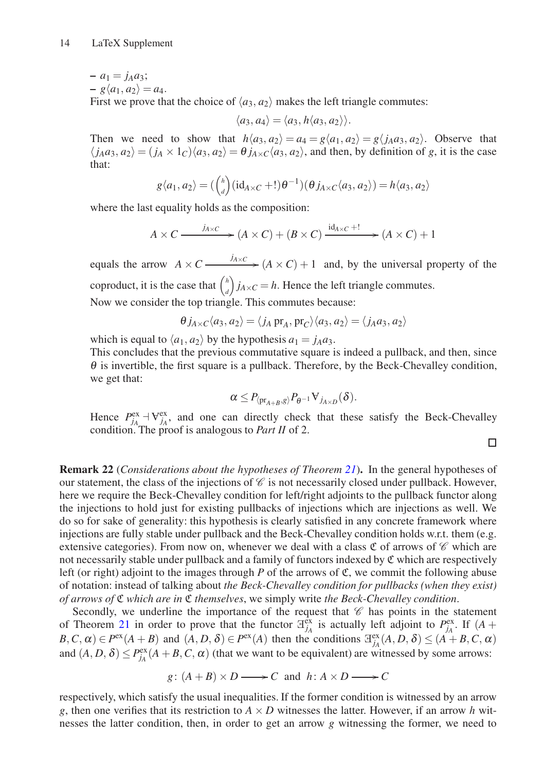$-a_1 = j_A a_3;$ 

 $-g\langle a_1, a_2 \rangle = a_4.$ 

First we prove that the choice of  $\langle a_3, a_2 \rangle$  makes the left triangle commutes:

 $\langle a_3, a_4 \rangle = \langle a_3, h \langle a_3, a_2 \rangle \rangle.$ 

Then we need to show that  $h\langle a_3, a_2 \rangle = a_4 = g\langle a_1, a_2 \rangle = g\langle j_A a_3, a_2 \rangle$ . Observe that  $\langle j_A a_3, a_2 \rangle = (j_A \times 1_C) \langle a_3, a_2 \rangle = \theta j_{A \times C} \langle a_3, a_2 \rangle$ , and then, by definition of *g*, it is the case that:

$$
g\langle a_1, a_2\rangle = \left(\binom{h}{d} \left(\mathrm{id}_{A \times C} + 1\right) \theta^{-1}\right) \left(\theta j_{A \times C} \langle a_3, a_2\rangle\right) = h\langle a_3, a_2\rangle
$$

where the last equality holds as the composition:

$$
A \times C \xrightarrow{j_{A \times C}} (A \times C) + (B \times C) \xrightarrow{\mathrm{id}_{A \times C} + !} (A \times C) + 1
$$

equals the arrow  $A \times C$   $\longrightarrow$   $\frac{j_{A \times C}}{A \times C}$   $\longrightarrow$   $(A \times C) + 1$  and, by the universal property of the coproduct, it is the case that  $\binom{h}{h}$ *d*  $\int j_{A \times C} = h$ . Hence the left triangle commutes. Now we consider the top triangle. This commutes because:

$$
\theta j_{A \times C} \langle a_3, a_2 \rangle = \langle j_A \operatorname{pr}_A, \operatorname{pr}_C \rangle \langle a_3, a_2 \rangle = \langle j_A a_3, a_2 \rangle
$$

which is equal to  $\langle a_1, a_2 \rangle$  by the hypothesis  $a_1 = j_A a_3$ .

This concludes that the previous commutative square is indeed a pullback, and then, since  $\theta$  is invertible, the first square is a pullback. Therefore, by the Beck-Chevalley condition, we get that:

$$
\alpha\leq P_{\langle \operatorname{pr}_{A+B},g\rangle}P_{\theta^{-1}}\mathsf{V}_{j_{A\times D}}(\delta).
$$

Hence  $P_{j_A}^{\text{ex}} \to V_{j_A}^{\text{ex}}$ , and one can directly check that these satisfy the Beck-Chevalley condition. The proof is analogous to *Part II* of 2.

 $\Box$ 

Remark 22 (*Considerations about the hypotheses of Theorem [21](#page-8-0)*). In the general hypotheses of our statement, the class of the injections of  $\mathscr C$  is not necessarily closed under pullback. However, here we require the Beck-Chevalley condition for left/right adjoints to the pullback functor along the injections to hold just for existing pullbacks of injections which are injections as well. We do so for sake of generality: this hypothesis is clearly satisfied in any concrete framework where injections are fully stable under pullback and the Beck-Chevalley condition holds w.r.t. them (e.g. extensive categories). From now on, whenever we deal with a class  $\mathfrak C$  of arrows of  $\mathscr C$  which are not necessarily stable under pullback and a family of functors indexed by C which are respectively left (or right) adjoint to the images through *P* of the arrows of  $\mathfrak{C}$ , we commit the following abuse of notation: instead of talking about *the Beck-Chevalley condition for pullbacks (when they exist) of arrows of* C *which are in* C *themselves*, we simply write *the Beck-Chevalley condition*.

Secondly, we underline the importance of the request that  $\mathscr C$  has points in the statement of Theorem [21](#page-8-0) in order to prove that the functor  $\mathbb{F}_{j_A}^{\text{ex}}$  is actually left adjoint to  $P_{j_A}^{\text{ex}}$ . If  $(A +$  $B, C, \alpha$ )  $\in P^{\text{ex}}(A + B)$  and  $(A, D, \delta) \in P^{\text{ex}}(A)$  then the conditions  $\exists_{j_A}^{\text{ex}}(A, D, \delta) \leq (A + B, C, \alpha)$ and  $(A, D, \delta) \le P_{j_A}^{\text{ex}}(A + B, C, \alpha)$  (that we want to be equivalent) are witnessed by some arrows:

$$
g: (A + B) \times D \longrightarrow C
$$
 and  $h: A \times D \longrightarrow C$ 

respectively, which satisfy the usual inequalities. If the former condition is witnessed by an arrow *g*, then one verifies that its restriction to  $A \times D$  witnesses the latter. However, if an arrow *h* witnesses the latter condition, then, in order to get an arrow *g* witnessing the former, we need to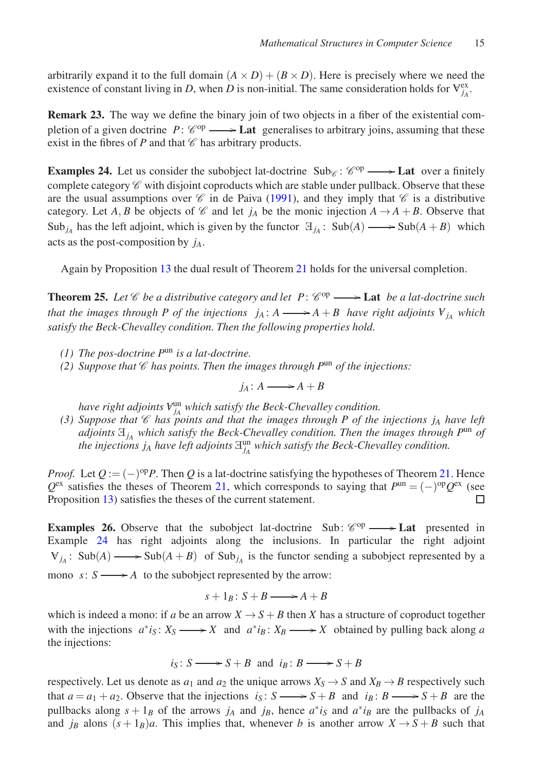arbitrarily expand it to the full domain  $(A \times D) + (B \times D)$ . Here is precisely where we need the existence of constant living in *D*, when *D* is non-initial. The same consideration holds for  $V_{j_A}^{ex}$ .

<span id="page-14-2"></span>Remark 23. The way we define the binary join of two objects in a fiber of the existential completion of a given doctrine  $P: \mathcal{C}^{op} \longrightarrow \mathbf{Lat}$  generalises to arbitrary joins, assuming that these exist in the fibres of  $P$  and that  $\mathscr C$  has arbitrary products.

<span id="page-14-0"></span>**Examples 24.** Let us consider the subobject lat-doctrine  $\text{Sub}_{\mathscr{C}}$ :  $\mathscr{C}^{\text{op}} \longrightarrow$  **Lat** over a finitely complete category  $\mathscr C$  with disjoint coproducts which are stable under pullback. Observe that these are the usual assumptions over  $\mathscr C$  in de Paiva [\(1991\)](#page-21-3), and they imply that  $\mathscr C$  is a distributive category. Let *A*, *B* be objects of  $\mathscr C$  and let *j<sub>A</sub>* be the monic injection  $A \rightarrow A + B$ . Observe that Sub<sub>*jA*</sub> has the left adjoint, which is given by the functor  $\mathbb{E}_{j_A}$ : Sub(*A*)  $\longrightarrow$  Sub(*A* + *B*) which acts as the post-composition by *jA*.

Again by Proposition [13](#page-6-0) the dual result of Theorem [21](#page-8-0) holds for the universal completion.

<span id="page-14-1"></span>**Theorem 25.** Let  $\mathscr C$  be a distributive category and let  $P: \mathscr C^{op} \longrightarrow$  **Lat** *be a lat-doctrine such that the images through P of the injections*  $j_A$ *:*  $A \longrightarrow A + B$  *have right adjoints*  $V_{j_A}$  *which satisfy the Beck-Chevalley condition. Then the following properties hold.*

- *(1) The pos-doctrine P*un *is a lat-doctrine.*
- *(2) Suppose that*  $\mathscr C$  *has points. Then the images through P*<sup>un</sup> *of the injections:*

$$
j_A \colon A \longrightarrow A + B
$$

*have right adjoints*  $V_{j_A}^{\text{un}}$  which satisfy the Beck-Chevalley condition.

(3) Suppose that  $\mathscr C$  *has points and that the images through P of the injections j<sub>A</sub> have left adjoints*  $\mathbb{H}_{j_A}$  *which satisfy the Beck-Chevalley condition. Then the images through*  $P^{\text{un}}$  *of the injections*  $j_A$  *have left adjoints*  $\mathbb{H}_{j_A}^{\text{un}}$  which satisfy the Beck-Chevalley condition.

*Proof.* Let  $Q := (-)^{op}P$ . Then  $Q$  is a lat-doctrine satisfying the hypotheses of Theorem [21.](#page-8-0) Hence  $Q^{\text{ex}}$  satisfies the theses of Theorem [21,](#page-8-0) which corresponds to saying that  $P^{\text{un}} = (-)^{\text{op}} Q^{\text{ex}}$  (see Proposition [13\)](#page-6-0) satisfies the theses of the current statement. П

**Examples 26.** Observe that the subobject lat-doctrine Sub:  $\mathcal{C}^{op} \longrightarrow$  Lat presented in Example [24](#page-14-0) has right adjoints along the inclusions. In particular the right adjoint  $V_{j_A}$ : Sub(*A*)  $\longrightarrow$  Sub(*A* + *B*) of Sub<sub>*j<sub>A</sub>* is the functor sending a subobject represented by a</sub> mono  $s: S \longrightarrow A$  to the subobject represented by the arrow:

$$
s+1_B\colon S+B\longrightarrow A+B
$$

which is indeed a mono: if *a* be an arrow  $X \to S + B$  then *X* has a structure of coproduct together with the injections  $a^*i_S: X_S \longrightarrow X$  and  $a^*i_B: X_B \longrightarrow X$  obtained by pulling back along *a* the injections:

$$
i_S: S \longrightarrow S + B
$$
 and  $i_B: B \longrightarrow S + B$ 

respectively. Let us denote as  $a_1$  and  $a_2$  the unique arrows  $X_S \rightarrow S$  and  $X_B \rightarrow B$  respectively such that  $a = a_1 + a_2$ . Observe that the injections  $i_S : S \longrightarrow S + B$  and  $i_B : B \longrightarrow S + B$  are the pullbacks along  $s + 1_B$  of the arrows  $j_A$  and  $j_B$ , hence  $a^*i_S$  and  $a^*i_B$  are the pullbacks of  $j_A$ and *j<sub>B</sub>* alons  $(s+1)$ *B*)*a*. This implies that, whenever *b* is another arrow  $X \rightarrow S + B$  such that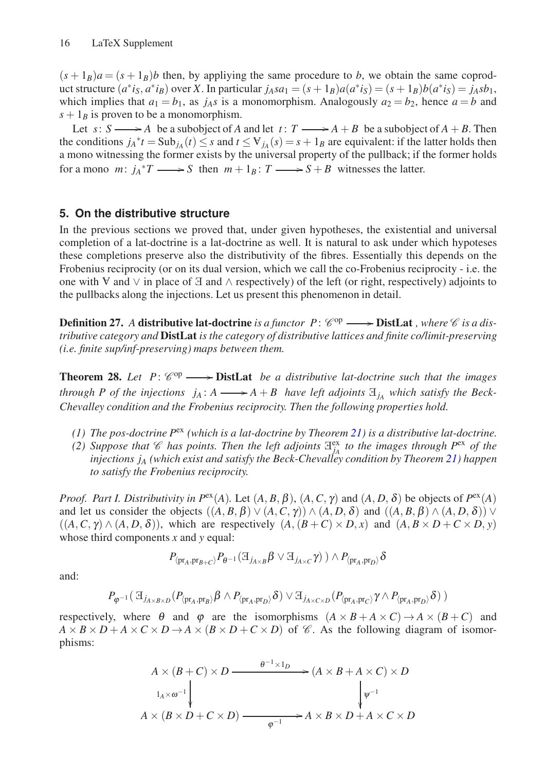$(s + 1_B)a = (s + 1_B)b$  then, by appliying the same procedure to *b*, we obtain the same coproduct structure  $(a^*i_S, a^*i_B)$  over X. In particular  $j_Asa_1 = (s+1_B)a(a^*i_S) = (s+1_B)b(a^*i_S) = j_Asb_1$ , which implies that  $a_1 = b_1$ , as  $j_A s$  is a monomorphism. Analogously  $a_2 = b_2$ , hence  $a = b$  and  $s + 1_B$  is proven to be a monomorphism.

Let  $s: S \longrightarrow A$  be a subobject of *A* and let  $t: T \longrightarrow A + B$  be a subobject of  $A + B$ . Then the conditions  $j_A^*t = \text{Sub}_{j_A}(t) \leq s$  and  $t \leq \forall j_A(s) = s + 1_B$  are equivalent: if the latter holds then a mono witnessing the former exists by the universal property of the pullback; if the former holds for a mono  $m: j_A^*T \longrightarrow S$  then  $m+1_B: T \longrightarrow S+B$  witnesses the latter.

## **5. On the distributive structure**

In the previous sections we proved that, under given hypotheses, the existential and universal completion of a lat-doctrine is a lat-doctrine as well. It is natural to ask under which hypoteses these completions preserve also the distributivity of the fibres. Essentially this depends on the Frobenius reciprocity (or on its dual version, which we call the co-Frobenius reciprocity - i.e. the one with  $\nabla$  and  $\nabla$  in place of  $\Xi$  and  $\wedge$  respectively) of the left (or right, respectively) adjoints to the pullbacks along the injections. Let us present this phenomenon in detail.

**Definition 27.** A distributive lat-doctrine is a functor  $P: \mathcal{C}^{op} \longrightarrow \textbf{DistLat}$ , where  $\mathcal{C}$  is a dis*tributive category and* DistLat *is the category of distributive lattices and finite co/limit-preserving (i.e. finite sup/inf-preserving) maps between them.*

<span id="page-15-0"></span>**Theorem 28.** Let  $P: \mathcal{C}^{op} \longrightarrow \textbf{DistLat}$  *be a distributive lat-doctrine such that the images through P of the injections*  $j_A: A \longrightarrow A + B$  *have left adjoints*  $\mathbb{E}_{j_A}$  *which satisfy the Beck-Chevalley condition and the Frobenius reciprocity. Then the following properties hold.*

- *(1) The pos-doctrine P*ex *(which is a lat-doctrine by Theorem [21\)](#page-8-0) is a distributive lat-doctrine.*
- (2) Suppose that  $\mathcal{C}$  has points. Then the left adjoints  $\mathbb{H}_{j_A}^{\text{ex}}$  to the images through  $P^{\text{ex}}$  of the *injections j<sup>A</sup> (which exist and satisfy the Beck-Chevalley condition by Theorem [21\)](#page-8-0) happen to satisfy the Frobenius reciprocity.*

*Proof. Part I. Distributivity in P<sup>ex</sup>(A).* Let  $(A, B, \beta)$ ,  $(A, C, \gamma)$  and  $(A, D, \delta)$  be objects of  $P^{\text{ex}}(A)$ and let us consider the objects  $((A, B, \beta) \lor (A, C, \gamma)) \land (A, D, \delta)$  and  $((A, B, \beta) \land (A, D, \delta)) \lor$  $((A, C, \gamma) \wedge (A, D, \delta))$ , which are respectively  $(A, (B + C) \times D, x)$  and  $(A, B \times D + C \times D, y)$ whose third components *x* and *y* equal:

$$
P_{\langle \mathrm{pr}_A, \mathrm{pr}_{B+C} \rangle} P_{\theta^{-1}} (\boxplus_{j_{A \times B}} \beta \vee \boxplus_{j_{A \times C}} \gamma) \ ) \wedge P_{\langle \mathrm{pr}_A, \mathrm{pr}_D \rangle} \delta
$$

and:

$$
P_{\varphi^{-1}}(\mathcal{A}_{j_{A\times B\times D}}(P_{\langle \mathrm{pr}_A, \mathrm{pr}_B\rangle}\beta \wedge P_{\langle \mathrm{pr}_A, \mathrm{pr}_D\rangle}\delta) \vee \mathcal{A}_{j_{A\times C\times D}}(P_{\langle \mathrm{pr}_A, \mathrm{pr}_C\rangle}\gamma \wedge P_{\langle \mathrm{pr}_A, \mathrm{pr}_D\rangle}\delta))
$$

respectively, where  $\theta$  and  $\phi$  are the isomorphisms  $(A \times B + A \times C) \rightarrow A \times (B + C)$  and  $A \times B \times D + A \times C \times D \rightarrow A \times (B \times D + C \times D)$  of *C*. As the following diagram of isomorphisms:

$$
A \times (B + C) \times D \xrightarrow{\theta^{-1} \times 1_D} (A \times B + A \times C) \times D
$$
  
\n
$$
A \times (B \times D + C \times D) \xrightarrow{\theta^{-1} \times 1_D} A \times B \times D + A \times C \times D
$$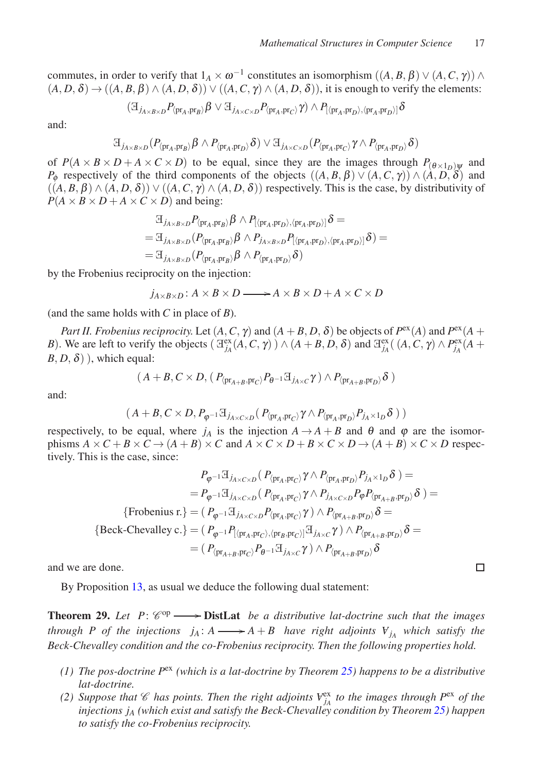$\Box$ 

commutes, in order to verify that  $1_A \times \omega^{-1}$  constitutes an isomorphism  $((A, B, \beta) \vee (A, C, \gamma)) \wedge$  $(A, D, \delta) \rightarrow ((A, B, \beta) \land (A, D, \delta)) \lor ((A, C, \gamma) \land (A, D, \delta))$ , it is enough to verify the elements:

$$
(\mathbb{H}_{j_{A\times B\times D}}P_{\langle \text{pr}_A, \text{pr}_B \rangle} \beta \lor \mathbb{H}_{j_{A\times C\times D}}P_{\langle \text{pr}_A, \text{pr}_C \rangle} \gamma) \land P_{[\langle \text{pr}_A, \text{pr}_D \rangle, \langle \text{pr}_A, \text{pr}_D \rangle]} \delta
$$

and:

$$
\boxplus_{j_{A\times B\times D}}(P_{\langle \mathrm{pr}_A, \mathrm{pr}_B\rangle} \beta \wedge P_{\langle \mathrm{pr}_A, \mathrm{pr}_D\rangle} \delta) \vee \boxplus_{j_{A\times C\times D}}(P_{\langle \mathrm{pr}_A, \mathrm{pr}_C\rangle} \gamma \wedge P_{\langle \mathrm{pr}_A, \mathrm{pr}_D\rangle} \delta)
$$

of  $P(A \times B \times D + A \times C \times D)$  to be equal, since they are the images through  $P_{(\theta \times 1_D)}$  and *P*<sub> $\phi$ </sub> respectively of the third components of the objects  $((A, B, \beta) \lor (A, C, \gamma)) \land (\dot{A}, D, \delta)$  and  $((A, B, \beta) \wedge (A, D, \delta)) \vee ((A, C, \gamma) \wedge (A, D, \delta))$  respectively. This is the case, by distributivity of  $P(A \times B \times D + A \times C \times D)$  and being:

$$
\begin{aligned} &\exists_{j_{A\times B\times D}}P_{\langle\mathrm{pr}_A,\mathrm{pr}_B\rangle}\beta\wedge P_{[\langle\mathrm{pr}_A,\mathrm{pr}_D\rangle,\langle\mathrm{pr}_A,\mathrm{pr}_D\rangle]}\delta=\\ &=\exists_{j_{A\times B\times D}}(P_{\langle\mathrm{pr}_A,\mathrm{pr}_B\rangle}\beta\wedge P_{j_{A\times B\times D}}P_{[\langle\mathrm{pr}_A,\mathrm{pr}_D\rangle,\langle\mathrm{pr}_A,\mathrm{pr}_D\rangle]}\delta)=\\ &=\exists_{j_{A\times B\times D}}(P_{\langle\mathrm{pr}_A,\mathrm{pr}_B\rangle}\beta\wedge P_{\langle\mathrm{pr}_A,\mathrm{pr}_D\rangle}\delta)\end{aligned}
$$

by the Frobenius reciprocity on the injection:

$$
j_{A\times B\times D}: A\times B\times D \longrightarrow A\times B\times D + A\times C\times D
$$

(and the same holds with *C* in place of *B*).

*Part II. Frobenius reciprocity.* Let  $(A, C, \gamma)$  and  $(A + B, D, \delta)$  be objects of  $P^{\text{ex}}(A)$  and  $P^{\text{ex}}(A +$ *B*). We are left to verify the objects  $(\exists_{jA}^{ex}(A, C, \gamma) ) \wedge (A + B, D, \delta)$  and  $\exists_{jA}^{ex}((A, C, \gamma) \wedge P_{j_A}^{ex}(A + B, D, \delta))$  $B, D, \delta$ ), which equal:

$$
(A+B,C \times D, (P_{\langle \text{pr}_{A+B}, \text{pr}_{C} \rangle} P_{\theta^{-1}} \mathbb{E}_{j_{A \times C}} \gamma) \wedge P_{\langle \text{pr}_{A+B}, \text{pr}_{D} \rangle} \delta)
$$

and:

$$
(A+B,C\times D,P_{\varphi^{-1}}\boxplus_{j_{A\times C\times D}}(P_{\langle pr_A,pr_C\rangle}\gamma\wedge P_{\langle pr_A,pr_D\rangle}P_{j_A\times 1_D}\delta))
$$

respectively, to be equal, where  $j_A$  is the injection  $A \rightarrow A + B$  and  $\theta$  and  $\varphi$  are the isomorphisms  $A \times C + B \times C \rightarrow (A + B) \times C$  and  $A \times C \times D + B \times C \times D \rightarrow (A + B) \times C \times D$  respectively. This is the case, since:

$$
P_{\varphi^{-1}} \mathbb{H}_{j_{A \times C \times D}} (P_{\langle \text{pr}_A, \text{pr}_C \rangle} \gamma \wedge P_{\langle \text{pr}_A, \text{pr}_D \rangle} P_{j_A \times 1_D} \delta ) =
$$
\n
$$
= P_{\varphi^{-1}} \mathbb{H}_{j_{A \times C \times D}} (P_{\langle \text{pr}_A, \text{pr}_C \rangle} \gamma \wedge P_{j_{A \times C \times D}} P_{\varphi} P_{\langle \text{pr}_{A+B}, \text{pr}_D \rangle} \delta ) =
$$
\n{Frobenius r.} =  $(P_{\varphi^{-1}} \mathbb{H}_{j_{A \times C \times D}} P_{\langle \text{pr}_A, \text{pr}_C \rangle} \gamma) \wedge P_{\langle \text{pr}_{A+B}, \text{pr}_D \rangle} \delta =$ \n{Beck-Chevally c.} =  $(P_{\varphi^{-1}} P_{[\langle \text{pr}_A, \text{pr}_C \rangle, \langle \text{pr}_B, \text{pr}_C \rangle]} \mathbb{H}_{j_{A \times C}} \gamma) \wedge P_{\langle \text{pr}_{A+B}, \text{pr}_D \rangle} \delta =$ \n
$$
= (P_{\langle \text{pr}_{A+B}, \text{pr}_C \rangle} P_{\varphi^{-1}} \mathbb{H}_{j_{A \times C}} \gamma) \wedge P_{\langle \text{pr}_{A+B}, \text{pr}_D \rangle} \delta
$$

and we are done.

By Proposition [13,](#page-6-0) as usual we deduce the following dual statement:

<span id="page-16-0"></span>**Theorem 29.** Let  $P: \mathcal{C}^{op} \longrightarrow \textbf{DistLat}$  *be a distributive lat-doctrine such that the images through P of the injections*  $j_A$ :  $A \longrightarrow A + B$  *have right adjoints*  $V_{j_A}$  *which satisfy the Beck-Chevalley condition and the co-Frobenius reciprocity. Then the following properties hold.*

- *(1) The pos-doctrine P*ex *(which is a lat-doctrine by Theorem [25\)](#page-14-1) happens to be a distributive lat-doctrine.*
- (2) Suppose that  $\mathcal{C}$  has points. Then the right adjoints  $V_{j_A}^{\text{ex}}$  to the images through  $P^{\text{ex}}$  of the *injections j<sup>A</sup> (which exist and satisfy the Beck-Chevalley condition by Theorem [25\)](#page-14-1) happen to satisfy the co-Frobenius reciprocity.*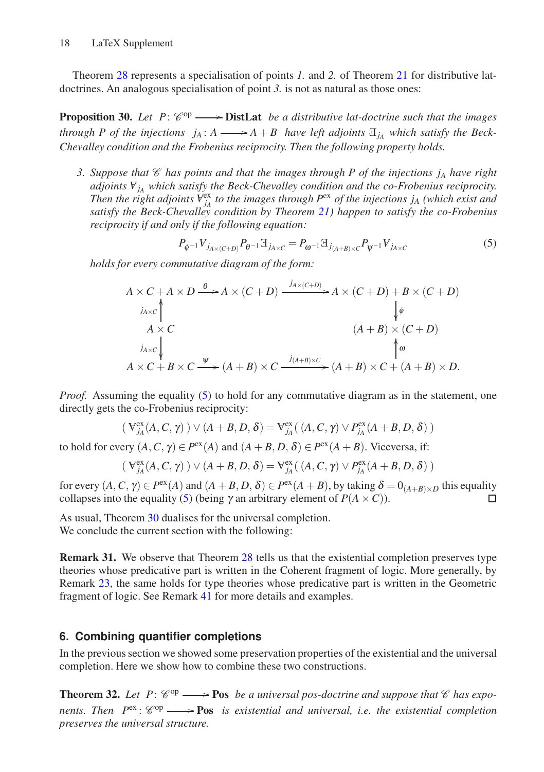Theorem [28](#page-15-0) represents a specialisation of points *1.* and *2.* of Theorem [21](#page-8-0) for distributive latdoctrines. An analogous specialisation of point *3.* is not as natural as those ones:

<span id="page-17-1"></span>**Proposition 30.** Let  $P: \mathcal{C}^{op} \longrightarrow$  **DistLat** *be a distributive lat-doctrine such that the images through P of the injections*  $j_A: A \longrightarrow A + B$  *have left adjoints*  $\mathbb{E}_{j_A}$  *which satisfy the Beck-Chevalley condition and the Frobenius reciprocity. Then the following property holds.*

*3. Suppose that*  $\mathscr C$  *has points and that the images through P of the injections j<sub>A</sub> have right adjoints <sup>A</sup> <sup>j</sup><sup>A</sup> which satisfy the Beck-Chevalley condition and the co-Frobenius reciprocity. Then the right adjoints*  $V_{j_A}^{ex}$  *to the images through P*<sup>ex</sup> *of the injections j<sub>A</sub> (which exist and satisfy the Beck-Chevalley condition by Theorem [21\)](#page-8-0) happen to satisfy the co-Frobenius reciprocity if and only if the following equation:*

<span id="page-17-0"></span>
$$
P_{\phi^{-1}} V_{j_{A \times (C+D)}} P_{\theta^{-1}} \mathbb{E}_{j_{A \times C}} = P_{\omega^{-1}} \mathbb{E}_{j_{(A+B) \times C}} P_{\psi^{-1}} V_{j_{A \times C}}
$$
(5)

*holds for every commutative diagram of the form:*

$$
A \times C + A \times D \xrightarrow{\theta} A \times (C+D) \xrightarrow{j_{A \times (C+D)}} A \times (C+D) + B \times (C+D)
$$
  
\n
$$
A \times C
$$
  
\n
$$
A \times C
$$
  
\n
$$
A \times C
$$
  
\n
$$
A \times C + B \times C \xrightarrow{\psi} (A+B) \times C \xrightarrow{j_{(A+B) \times C}} (A+B) \times C + (A+B) \times D.
$$

*Proof.* Assuming the equality [\(5\)](#page-17-0) to hold for any commutative diagram as in the statement, one directly gets the co-Frobenius reciprocity:

$$
\left(\,\mathbf{V}^{\mathrm{ex}}_{j_A}(A,C,\gamma)\,\right) \vee \left(A+B,D,\delta\right) = \mathbf{V}^{\mathrm{ex}}_{j_A}\big(\,(A,C,\gamma)\vee P^{\mathrm{ex}}_{j_A}(A+B,D,\delta)\,\big)
$$

to hold for every  $(A, C, \gamma) \in P^{\text{ex}}(A)$  and  $(A + B, D, \delta) \in P^{\text{ex}}(A + B)$ . Viceversa, if:

$$
(\,\mathbf{V}^{\text{ex}}_{j_A}(A,C,\gamma)\,)\lor(A+B,D,\delta)=\mathbf{V}^{\text{ex}}_{j_A}\big(\,(A,C,\gamma)\lor P^{\text{ex}}_{j_A}(A+B,D,\delta)\,\big)
$$

for every  $(A, C, \gamma) \in P^{\text{ex}}(A)$  and  $(A + B, D, \delta) \in P^{\text{ex}}(A + B)$ , by taking  $\delta = 0_{(A+B) \times D}$  this equality collapses into the equality [\(5\)](#page-17-0) (being  $\gamma$  an arbitrary element of  $P(A \times C)$ ). П

As usual, Theorem [30](#page-17-1) dualises for the universal completion. We conclude the current section with the following:

<span id="page-17-3"></span>Remark 31. We observe that Theorem [28](#page-15-0) tells us that the existential completion preserves type theories whose predicative part is written in the Coherent fragment of logic. More generally, by Remark [23,](#page-14-2) the same holds for type theories whose predicative part is written in the Geometric fragment of logic. See Remark [41](#page-21-7) for more details and examples.

## **6. Combining quantifier completions**

In the previous section we showed some preservation properties of the existential and the universal completion. Here we show how to combine these two constructions.

<span id="page-17-2"></span>**Theorem 32.** Let  $P: \mathcal{C}^{op} \longrightarrow \textbf{Pos}$  *be a universal pos-doctrine and suppose that*  $\mathcal{C}$  *has expo*nents. Then  $P<sup>ex</sup>$ :  $\mathcal{C}<sup>op</sup> \longrightarrow \textbf{Pos}$  *is existential and universal, i.e. the existential completion preserves the universal structure.*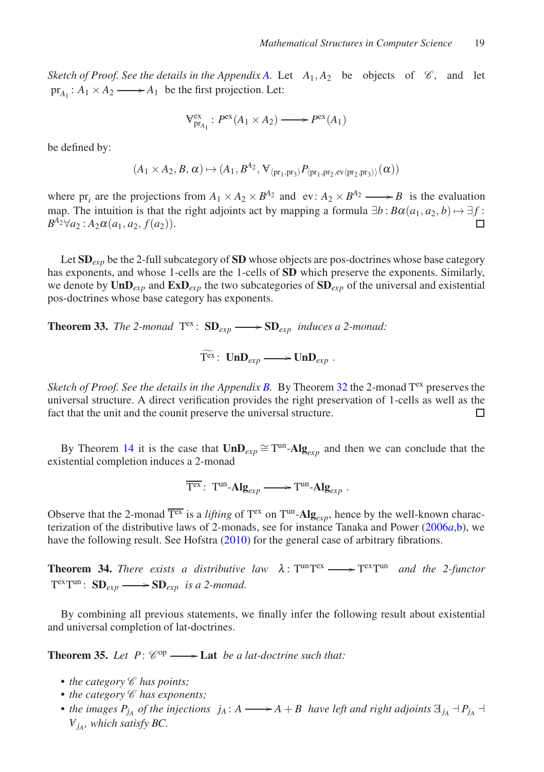*Sketch of Proof. See the details in the Appendix [A.](#page-22-8)* Let  $A_1, A_2$  be objects of  $\mathcal{C}$ , and let  $pr_{A_1}: A_1 \times A_2 \longrightarrow A_1$  be the first projection. Let:

$$
V_{pr_{A_1}}^{ex}: P^{ex}(A_1 \times A_2) \longrightarrow P^{ex}(A_1)
$$

be defined by:

$$
(A_1\times A_2,B,\alpha)\mapsto (A_1,B^{A_2},\allowbreak \mathbf{V}_{\langle \mathbf{pr}_1,\mathbf{pr}_3\rangle}P_{\langle \mathbf{pr}_1,\mathbf{pr}_2,\mathbf{ev}\langle \mathbf{pr}_2,\mathbf{pr}_3\rangle\rangle}(\alpha))
$$

where  $pr_i$  are the projections from  $A_1 \times A_2 \times B^{A_2}$  and  $ev: A_2 \times B^{A_2} \longrightarrow B$  is the evaluation map. The intuition is that the right adjoints act by mapping a formula  $\exists b : B\alpha(a_1, a_2, b) \mapsto \exists f$ :  $B^{A_2}\forall a_2 : A_2\alpha(a_1, a_2, f(a_2)).$  $\Box$ 

Let SD<sub>exp</sub> be the 2-full subcategory of SD whose objects are pos-doctrines whose base category has exponents, and whose 1-cells are the 1-cells of SD which preserve the exponents. Similarly, we denote by  $\text{UnD}_{exp}$  and  $\text{ExD}_{exp}$  the two subcategories of  $\text{SD}_{exp}$  of the universal and existential pos-doctrines whose base category has exponents.

<span id="page-18-1"></span>**Theorem 33.** The 2-monad  $T^{ex}$ :  $SD_{exp} \longrightarrow SD_{exp}$  *induces a 2-monad:* 

 $T^{ex}: \text{UnD}_{exp} \longrightarrow \text{UnD}_{exp}$ .

*Sketch of Proof. See the details in the Appendix [B.](#page-24-0)* By Theorem [32](#page-17-2) the 2-monad  $T<sup>ex</sup>$  preserves the universal structure. A direct verification provides the right preservation of 1-cells as well as the fact that the unit and the counit preserve the universal structure.  $\Box$ 

By Theorem [14](#page-7-1) it is the case that  $UnD_{exp} \cong T^{un}$ -Alg<sub>exp</sub> and then we can conclude that the existential completion induces a 2-monad

 $\overline{\mathrm{T}^\mathrm{ex}}$ :  $\mathrm{T}^\mathrm{un}\text{-}\mathrm{Alg}_{exp} \longrightarrow \mathrm{T}^\mathrm{un}\text{-}\mathrm{Alg}_{exp}$ .

Observe that the 2-monad  $\overline{T^{ex}}$  is a *lifting* of  $T^{ex}$  on  $T^{un}$ -Alg<sub>exp</sub>, hence by the well-known characterization of the distributive laws of 2-monads, see for instance Tanaka and Power [\(2006](#page-22-9)*a*[,b\)](#page-22-10), we have the following result. See Hofstra [\(2010](#page-21-0)) for the general case of arbitrary fibrations.

**Theorem 34.** *There exists a distributive law*  $\lambda: T^{un}T^{ex} \longrightarrow T^{ex}T^{un}$  *and the 2-functor*  $T^{ex}T^{un}$ :  $SD_{exp} \longrightarrow SD_{exp}$  *is a 2-monad.* 

By combining all previous statements, we finally infer the following result about existential and universal completion of lat-doctrines.

<span id="page-18-0"></span>**Theorem 35.** Let  $P: \mathcal{C}^{op} \longrightarrow$  **Lat** *be a lat-doctrine such that:* 

- *the category*  $\mathscr C$  *has points;*
- *the category*  $\mathscr C$  *has exponents;*
- the images  $P_{j_A}$  of the injections  $j_A: A \longrightarrow A + B$  have left and right adjoints  $\exists_{j_A} \neg P_{j_A} \neg P_{j_A}$ *A jA , which satisfy BC.*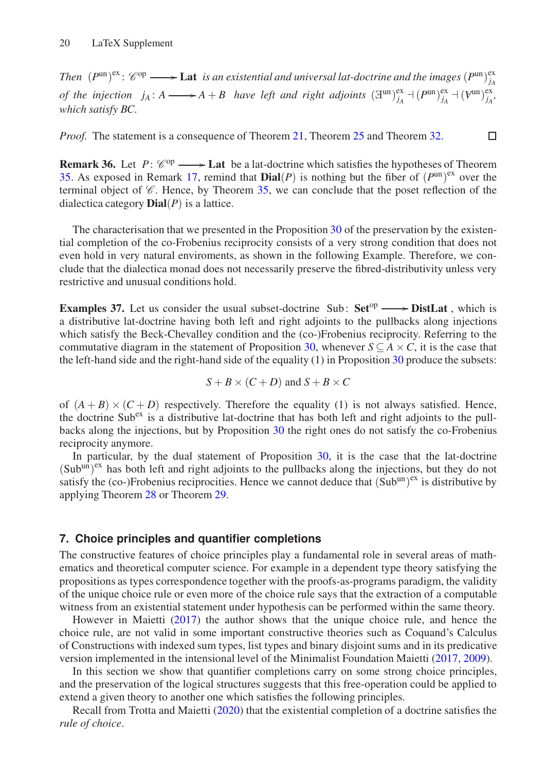*Then*  $(P^{\text{un}})^{\text{ex}}$ :  $\mathscr{C}^{\text{op}} \longrightarrow$  **Lat** *is an existential and universal lat-doctrine and the images*  $(P^{\text{un}})_{i,j}^{\text{ex}}$ *jA of the injection*  $j_A: A \longrightarrow A + B$  *have left and right adjoints*  $(\mathbb{H}^{\text{un}})^{\text{ex}}_{j_A} + (P^{\text{un}})^{\text{ex}}_{j_A} + (V^{\text{un}})^{\text{ex}}_{j_A}$ *which satisfy BC.*

 $\Box$ 

*Proof.* The statement is a consequence of Theorem [21,](#page-8-0) Theorem [25](#page-14-1) and Theorem [32.](#page-17-2)

**Remark 36.** Let  $P: \mathcal{C}^{op} \longrightarrow$  Lat be a lat-doctrine which satisfies the hypotheses of Theorem [35.](#page-18-0) As exposed in Remark [17,](#page-7-2) remind that  $\text{Dial}(P)$  is nothing but the fiber of  $(P^{\text{un}})^{\text{ex}}$  over the terminal object of  $\mathscr C$ . Hence, by Theorem [35,](#page-18-0) we can conclude that the poset reflection of the dialectica category  $\text{Dial}(P)$  is a lattice.

The characterisation that we presented in the Proposition [30](#page-17-1) of the preservation by the existential completion of the co-Frobenius reciprocity consists of a very strong condition that does not even hold in very natural enviroments, as shown in the following Example. Therefore, we conclude that the dialectica monad does not necessarily preserve the fibred-distributivity unless very restrictive and unusual conditions hold.

**Examples 37.** Let us consider the usual subset-doctrine Sub:  $Set^{op} \longrightarrow DistLat$ , which is a distributive lat-doctrine having both left and right adjoints to the pullbacks along injections which satisfy the Beck-Chevalley condition and the (co-)Frobenius reciprocity. Referring to the commutative diagram in the statement of Proposition [30,](#page-17-1) whenever  $S \subseteq A \times C$ , it is the case that the left-hand side and the right-hand side of the equality (1) in Proposition [30](#page-17-1) produce the subsets:

$$
S + B \times (C + D) \text{ and } S + B \times C
$$

of  $(A + B) \times (C + D)$  respectively. Therefore the equality (1) is not always satisfied. Hence, the doctrine  $\text{Sub}^{\text{ex}}$  is a distributive lat-doctrine that has both left and right adjoints to the pullbacks along the injections, but by Proposition [30](#page-17-1) the right ones do not satisfy the co-Frobenius reciprocity anymore.

In particular, by the dual statement of Proposition [30,](#page-17-1) it is the case that the lat-doctrine (Sub<sup>un)ex</sup> has both left and right adjoints to the pullbacks along the injections, but they do not satisfy the (co-)Frobenius reciprocities. Hence we cannot deduce that  $(Sub<sup>un</sup>)<sup>ex</sup>$  is distributive by applying Theorem [28](#page-15-0) or Theorem [29.](#page-16-0)

## **7. Choice principles and quantifier completions**

The constructive features of choice principles play a fundamental role in several areas of mathematics and theoretical computer science. For example in a dependent type theory satisfying the propositions as types correspondence together with the proofs-as-programs paradigm, the validity of the unique choice rule or even more of the choice rule says that the extraction of a computable witness from an existential statement under hypothesis can be performed within the same theory.

However in Maietti [\(2017\)](#page-22-11) the author shows that the unique choice rule, and hence the choice rule, are not valid in some important constructive theories such as Coquand's Calculus of Constructions with indexed sum types, list types and binary disjoint sums and in its predicative version implemented in the intensional level of the Minimalist Foundation Maietti [\(2017,](#page-22-11) [2009](#page-22-12)).

In this section we show that quantifier completions carry on some strong choice principles, and the preservation of the logical structures suggests that this free-operation could be applied to extend a given theory to another one which satisfies the following principles.

Recall from Trotta and Maietti [\(2020\)](#page-22-1) that the existential completion of a doctrine satisfies the *rule of choice*.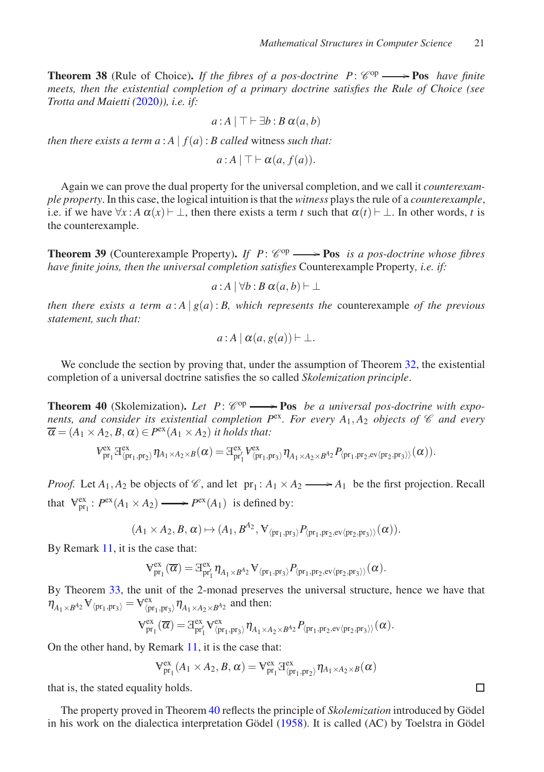<span id="page-20-1"></span>**Theorem 38** (Rule of Choice). If the fibres of a pos-doctrine  $P: \mathcal{C}^{op} \longrightarrow \textbf{Pos}$  have finite *meets, then the existential completion of a primary doctrine satisfies the Rule of Choice (see Trotta and Maietti (*[2020](#page-22-1)*)), i.e. if:*

$$
a:A \mid \top \vdash \exists b:B \alpha(a,b)
$$

*then there exists a term*  $a : A | f(a) : B$  *called witness such that:* 

$$
a:A \mid \top \vdash \alpha(a, f(a)).
$$

Again we can prove the dual property for the universal completion, and we call it *counterexample property*. In this case, the logical intuition is that the *witness* plays the rule of a *counterexample*, i.e. if we have  $\forall x : A \alpha(x) \vdash \bot$ , then there exists a term *t* such that  $\alpha(t) \vdash \bot$ . In other words, *t* is the counterexample.

**Theorem 39** (Counterexample Property). If  $P: \mathcal{C}^{op} \longrightarrow \textbf{Pos}$  *is a pos-doctrine whose fibres have finite joins, then the universal completion satisfies* Counterexample Property*, i.e. if:*

$$
a:A\,|\,\forall b:B\,\alpha(a,b)\vdash \bot
$$

*then there exists a term*  $a : A | g(a) : B$ *, which represents the counterexample of the previous statement, such that:*

$$
a:A \mid \alpha(a,g(a)) \vdash \bot.
$$

We conclude the section by proving that, under the assumption of Theorem [32,](#page-17-2) the existential completion of a universal doctrine satisfies the so called *Skolemization principle*.

<span id="page-20-0"></span>**Theorem 40** (Skolemization). Let  $P: \mathcal{C}^{op} \longrightarrow \textbf{Pos}$  *be a universal pos-doctrine with exponents, and consider its existential completion*  $P^{ex}$ *. For every A<sub>1</sub>, A<sub>2</sub> <i>objects of*  $\mathcal C$  *and every*  $\overline{\alpha} = (A_1 \times A_2, B, \alpha) \in P^{\text{ex}}(A_1 \times A_2)$  *it holds that:* 

$$
V_{\mathrm{pr}_1}^{\mathrm{ex}} \mathbb{F}_{\langle \mathrm{pr}_1, \mathrm{pr}_2 \rangle}^{\mathrm{ex}} \eta_{A_1 \times A_2 \times B}(\alpha) = \mathbb{F}_{\mathrm{pr}_1'}^{\mathrm{ex}} V_{\langle \mathrm{pr}_1, \mathrm{pr}_3 \rangle}^{\mathrm{ex}} \eta_{A_1 \times A_2 \times B^{A_2}} P_{\langle \mathrm{pr}_1, \mathrm{pr}_2, \mathrm{ev} \langle \mathrm{pr}_2, \mathrm{pr}_3 \rangle \rangle}(\alpha)).
$$

*Proof.* Let  $A_1, A_2$  be objects of  $\mathcal{C}$ , and let  $pr_1: A_1 \times A_2 \longrightarrow A_1$  be the first projection. Recall that  $V_{pr_1}^{ex}$ :  $P^{ex}(A_1 \times A_2) \longrightarrow P^{ex}(A_1)$  is defined by:

$$
(A_1 \times A_2, B, \alpha) \mapsto (A_1, B^{A_2}, \mathbf{V}_{\langle \text{pr}_1, \text{pr}_3 \rangle} P_{\langle \text{pr}_1, \text{pr}_2, \text{ev} \langle \text{pr}_2, \text{pr}_3 \rangle \rangle}(\alpha)).
$$

By Remark [11,](#page-5-1) it is the case that:

$$
V_{pr_1}^{ex}(\overline{\alpha})=\boxplus_{pr_1'}^{ex}\eta_{A_1\times B^{A_2}}V_{\langle pr_1,pr_3\rangle}P_{\langle pr_1,pr_2, ev\langle pr_2,pr_3\rangle\rangle}(\alpha).
$$

By Theorem [33,](#page-18-1) the unit of the 2-monad preserves the universal structure, hence we have that  $\eta_{A_1\times B^{A_2}}\mathbf{V}_{\langle\mathbf{pr}_1,\mathbf{pr}_3\rangle} = \mathbf{V}_{\langle\mathbf{pr}_1,\mathbf{pr}_3\rangle}^{\text{ex}} \eta_{A_1\times A_2\times B^{A_2}}$  and then:

$$
V_{pr_1}^{ex}(\overline{\alpha}) = \mathbb{E}_{pr'_1}^{ex} V_{\langle pr_1, pr_3 \rangle}^{ex} \eta_{A_1 \times A_2 \times B^{A_2}} P_{\langle pr_1, pr_2, ev \langle pr_2, pr_3 \rangle \rangle}(\alpha).
$$

On the other hand, by Remark [11,](#page-5-1) it is the case that:

$$
V_{\mathrm{pr}_1}^{\mathrm{ex}}(A_1 \times A_2, B, \alpha) = V_{\mathrm{pr}_1}^{\mathrm{ex}} \mathbb{E}_{\langle \mathrm{pr}_1, \mathrm{pr}_2 \rangle}^{\mathrm{ex}} \eta_{A_1 \times A_2 \times B}(\alpha)
$$

that is, the stated equality holds.

The property proved in Theorem [40](#page-20-0) reflects the principle of *Skolemization* introduced by Gödel in his work on the dialectica interpretation Gödel [\(1958](#page-21-5)). It is called  $(AC)$  by Toelstra in Gödel

 $\Box$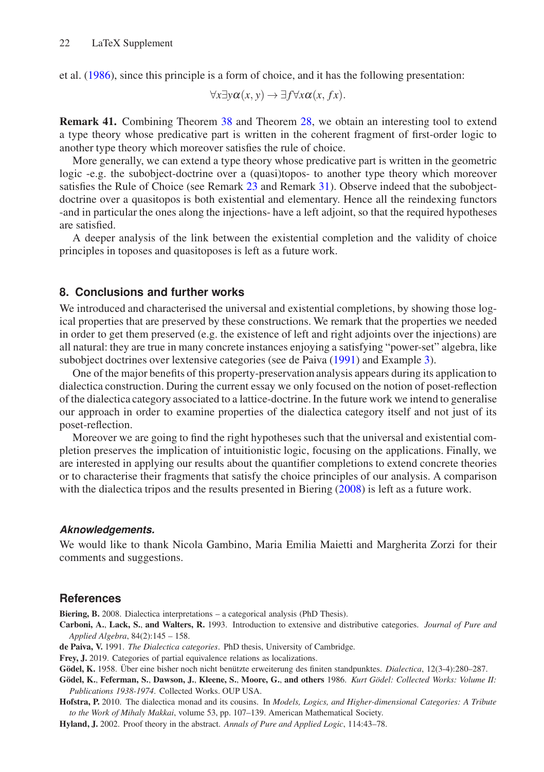et al. [\(1986](#page-21-2)), since this principle is a form of choice, and it has the following presentation:

$$
\forall x \exists y \alpha(x, y) \rightarrow \exists f \forall x \alpha(x, fx).
$$

<span id="page-21-7"></span>Remark 41. Combining Theorem [38](#page-20-1) and Theorem [28,](#page-15-0) we obtain an interesting tool to extend a type theory whose predicative part is written in the coherent fragment of first-order logic to another type theory which moreover satisfies the rule of choice.

More generally, we can extend a type theory whose predicative part is written in the geometric logic -e.g. the subobject-doctrine over a (quasi)topos- to another type theory which moreover satisfies the Rule of Choice (see Remark [23](#page-14-2) and Remark [31\)](#page-17-3). Observe indeed that the subobjectdoctrine over a quasitopos is both existential and elementary. Hence all the reindexing functors -and in particular the ones along the injections- have a left adjoint, so that the required hypotheses are satisfied.

A deeper analysis of the link between the existential completion and the validity of choice principles in toposes and quasitoposes is left as a future work.

## **8. Conclusions and further works**

We introduced and characterised the universal and existential completions, by showing those logical properties that are preserved by these constructions. We remark that the properties we needed in order to get them preserved (e.g. the existence of left and right adjoints over the injections) are all natural: they are true in many concrete instances enjoying a satisfying "power-set" algebra, like subobject doctrines over lextensive categories (see de Paiva [\(1991](#page-21-3)) and Example [3\)](#page-2-2).

One of the major benefits of this property-preservation analysis appears during its application to dialectica construction. During the current essay we only focused on the notion of poset-reflection of the dialectica category associated to a lattice-doctrine. In the future work we intend to generalise our approach in order to examine properties of the dialectica category itself and not just of its poset-reflection.

Moreover we are going to find the right hypotheses such that the universal and existential completion preserves the implication of intuitionistic logic, focusing on the applications. Finally, we are interested in applying our results about the quantifier completions to extend concrete theories or to characterise their fragments that satisfy the choice principles of our analysis. A comparison with the dialectica tripos and the results presented in Biering [\(2008](#page-21-8)) is left as a future work.

#### *Aknowledgements.*

We would like to thank Nicola Gambino, Maria Emilia Maietti and Margherita Zorzi for their comments and suggestions.

#### **References**

<span id="page-21-8"></span>Biering, B. 2008. Dialectica interpretations – a categorical analysis (PhD Thesis).

- <span id="page-21-6"></span>Carboni, A., Lack, S., and Walters, R. 1993. Introduction to extensive and distributive categories. *Journal of Pure and Applied Algebra*, 84(2):145 – 158.
- <span id="page-21-3"></span>de Paiva, V. 1991. *The Dialectica categories*. PhD thesis, University of Cambridge.

<span id="page-21-1"></span>Frey, J. 2019. Categories of partial equivalence relations as localizations.

<span id="page-21-5"></span>Gödel, K. 1958. Über eine bisher noch nicht benützte erweiterung des finiten standpunktes. *Dialectica*, 12(3-4):280–287.

<span id="page-21-2"></span>Gödel, K., Feferman, S., Dawson, J., Kleene, S., Moore, G., and others 1986. *Kurt Gödel: Collected Works: Volume II: Publications 1938-1974*. Collected Works. OUP USA.

<span id="page-21-0"></span>Hofstra, P. 2010. The dialectica monad and its cousins. In *Models, Logics, and Higher-dimensional Categories: A Tribute to the Work of Mihaly Makkai*, volume 53, pp. 107–139. American Mathematical Society.

<span id="page-21-4"></span>Hyland, J. 2002. Proof theory in the abstract. *Annals of Pure and Applied Logic*, 114:43–78.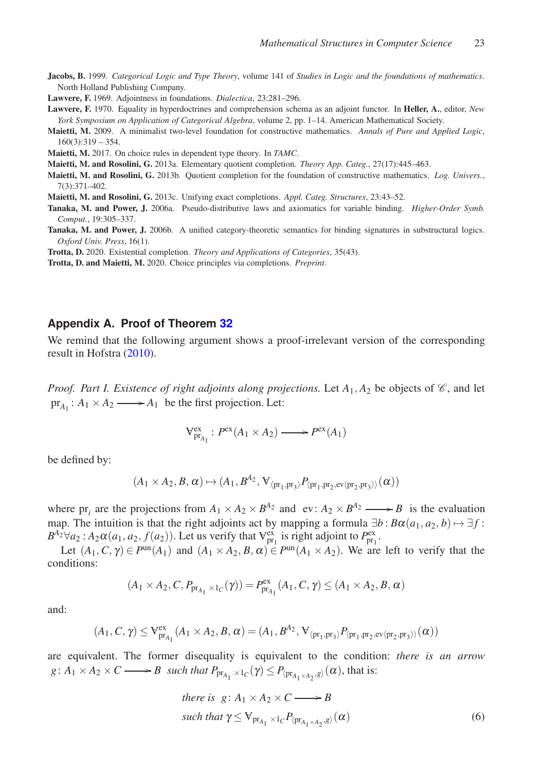<span id="page-22-7"></span>Jacobs, B. 1999. *Categorical Logic and Type Theory*, volume 141 of *Studies in Logic and the foundations of mathematics*. North Holland Publishing Company.

<span id="page-22-2"></span>Lawvere, F. 1969. Adjointness in foundations. *Dialectica*, 23:281–296.

- <span id="page-22-3"></span>Lawvere, F. 1970. Equality in hyperdoctrines and comprehension schema as an adjoint functor. In Heller, A., editor, *New York Symposium on Application of Categorical Algebra*, volume 2, pp. 1–14. American Mathematical Society.
- <span id="page-22-12"></span>Maietti, M. 2009. A minimalist two-level foundation for constructive mathematics. *Annals of Pure and Applied Logic*,  $160(3):319 - 354.$
- <span id="page-22-11"></span>Maietti, M. 2017. On choice rules in dependent type theory. In *TAMC*.
- <span id="page-22-5"></span>Maietti, M. and Rosolini, G. 2013a. Elementary quotient completion. *Theory App. Categ.*, 27(17):445–463.
- <span id="page-22-4"></span>Maietti, M. and Rosolini, G. 2013b. Quotient completion for the foundation of constructive mathematics. *Log. Univers.*, 7(3):371–402.
- <span id="page-22-6"></span>Maietti, M. and Rosolini, G. 2013c. Unifying exact completions. *Appl. Categ. Structures*, 23:43–52.
- <span id="page-22-9"></span>Tanaka, M. and Power, J. 2006a. Pseudo-distributive laws and axiomatics for variable binding. *Higher-Order Symb. Comput.*, 19:305–337.
- <span id="page-22-10"></span>Tanaka, M. and Power, J. 2006b. A unified category-theoretic semantics for binding signatures in substructural logics. *Oxford Univ. Press*, 16(1).
- <span id="page-22-0"></span>Trotta, D. 2020. Existential completion. *Theory and Applications of Categories*, 35(43).
- <span id="page-22-1"></span>Trotta, D. and Maietti, M. 2020. Choice principles via completions. *Preprint*.

#### <span id="page-22-8"></span>**Appendix A. Proof of Theorem [32](#page-17-2)**

We remind that the following argument shows a proof-irrelevant version of the corresponding result in Hofstra [\(2010](#page-21-0)).

*Proof. Part I. Existence of right adjoints along projections.* Let  $A_1, A_2$  be objects of  $\mathcal{C}$ , and let  $pr_{A_1}: A_1 \times A_2 \longrightarrow A_1$  be the first projection. Let:

$$
V_{pr_{A_1}}^{ex}: P^{ex}(A_1 \times A_2) \longrightarrow P^{ex}(A_1)
$$

be defined by:

$$
(A_1 \times A_2, B, \alpha) \mapsto (A_1, B^{A_2}, \mathbf{V}_{\langle \mathrm{pr}_1, \mathrm{pr}_3 \rangle} P_{\langle \mathrm{pr}_1, \mathrm{pr}_2, \mathrm{ev} \langle \mathrm{pr}_2, \mathrm{pr}_3 \rangle \rangle}(\alpha))
$$

where  $pr_i$  are the projections from  $A_1 \times A_2 \times B^{A_2}$  and  $ev: A_2 \times B^{A_2} \longrightarrow B$  is the evaluation map. The intuition is that the right adjoints act by mapping a formula  $\exists b : B\alpha(a_1, a_2, b) \mapsto \exists f$ :  $B^{A_2} \forall a_2 : A_2 \alpha(a_1, a_2, f(a_2))$ . Let us verify that  $V_{pr_1}^{ex}$  is right adjoint to  $P_{pr_1}^{ex}$ .

Let  $(A_1, C, \gamma) \in P^{\text{un}}(A_1)$  and  $(A_1 \times A_2, B, \alpha) \in P^{\text{un}}(A_1 \times A_2)$ . We are left to verify that the conditions:

$$
(A_1 \times A_2, C, P_{pr_{A_1} \times 1_C}(\gamma)) = P_{pr_{A_1}}^{ex}(A_1, C, \gamma) \le (A_1 \times A_2, B, \alpha)
$$

and:

$$
(A_1, C, \gamma) \leq V_{pr_{A_1}}^{ex}(A_1 \times A_2, B, \alpha) = (A_1, B^{A_2}, V_{\langle pr_1, pr_3 \rangle} P_{\langle pr_1, pr_2, ev \langle pr_2, pr_3 \rangle \rangle}(\alpha))
$$

are equivalent. The former disequality is equivalent to the condition: *there is an arrow*  $g: A_1 \times A_2 \times C \longrightarrow B$  *such that*  $P_{\text{pr}_{A_1} \times 1_C}(\gamma) \leq P_{\langle \text{pr}_{A_1 \times A_2}, g \rangle}(\alpha)$ , that is:

<span id="page-22-13"></span>there is 
$$
g: A_1 \times A_2 \times C \longrightarrow B
$$
  
such that  $\gamma \leq V_{pr_{A_1} \times 1_C} P_{\langle pr_{A_1 \times A_2}, g \rangle}(\alpha)$  (6)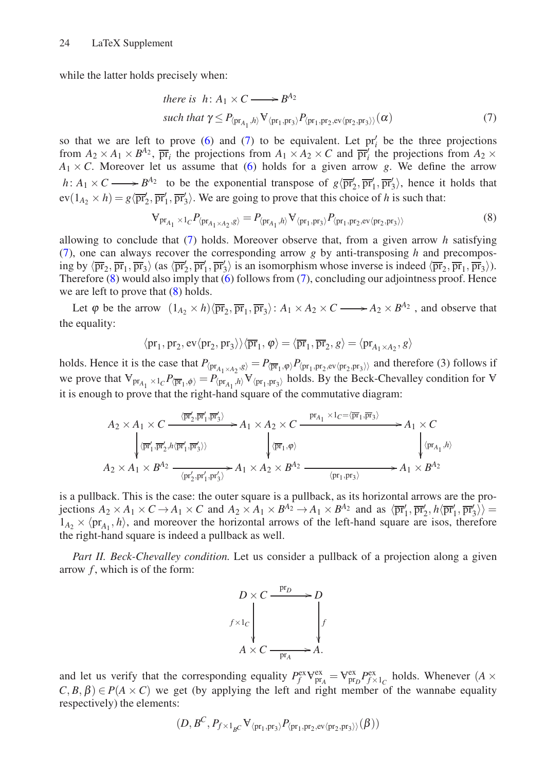while the latter holds precisely when:

<span id="page-23-0"></span>there is 
$$
h: A_1 \times C \longrightarrow B^{A_2}
$$
  
such that  $\gamma \le P_{\langle \text{pr}_{A_1}, h \rangle} \mathbf{V}_{\langle \text{pr}_1, \text{pr}_3 \rangle} P_{\langle \text{pr}_1, \text{pr}_2, \text{ev} \langle \text{pr}_2, \text{pr}_3 \rangle \rangle}(\alpha)$  (7)

so that we are left to prove  $(6)$  and  $(7)$  to be equivalent. Let  $pr'_i$  be the three projections from  $A_2 \times A_1 \times B^{A_2}$ ,  $\overline{pr}_i$  the projections from  $A_1 \times A_2 \times C$  and  $\overline{pr}'_i$  the projections from  $A_2 \times C$  $A_1 \times C$ . Moreover let us assume that [\(6\)](#page-22-13) holds for a given arrow *g*. We define the arrow  $h: A_1 \times C \longrightarrow B^{A_2}$  to be the exponential transpose of  $g\langle \overrightarrow{pr}'_2, \overrightarrow{pr}'_1, \overrightarrow{pr}'_3 \rangle$ , hence it holds that  $ev(1_{A_2} \times h) = g\langle \overline{\text{pr}}'_2, \overline{\text{pr}}'_1, \overline{\text{pr}}'_3 \rangle$ . We are going to prove that this choice of *h* is such that:

<span id="page-23-1"></span>
$$
\nabla_{\text{pr}_{A_1} \times 1_C} P_{\langle \text{pr}_{A_1 \times A_2}, g \rangle} = P_{\langle \text{pr}_{A_1}, h \rangle} \nabla_{\langle \text{pr}_1, \text{pr}_3 \rangle} P_{\langle \text{pr}_1, \text{pr}_2, \text{ev} \langle \text{pr}_2, \text{pr}_3 \rangle \rangle
$$
(8)

allowing to conclude that [\(7\)](#page-23-0) holds. Moreover observe that, from a given arrow *h* satisfying [\(7\)](#page-23-0), one can always recover the corresponding arrow *g* by anti-transposing *h* and precomposing by  $\langle \overline{\text{pr}}_2, \overline{\text{pr}}_1, \overline{\text{pr}}_3 \rangle$  (as  $\langle \overline{\text{pr}}'_2, \overline{\text{pr}}'_1, \overline{\text{pr}}'_3 \rangle$  is an isomorphism whose inverse is indeed  $\langle \overline{\text{pr}}_2, \overline{\text{pr}}_1, \overline{\text{pr}}_3 \rangle$ ). Therefore  $(8)$  would also imply that  $(6)$  follows from  $(7)$ , concluding our adjointness proof. Hence we are left to prove that  $(8)$  holds.

Let  $\varphi$  be the arrow  $(1_{A_2} \times h)\langle \overline{\text{pr}}_2, \overline{\text{pr}}_1, \overline{\text{pr}}_3 \rangle$ :  $A_1 \times A_2 \times C \longrightarrow A_2 \times B^{A_2}$ , and observe that the equality:

$$
\langle pr_1, pr_2, ev \langle pr_2, pr_3 \rangle \rangle \langle \overline{pr}_1, \phi \rangle = \langle \overline{pr}_1, \overline{pr}_2, g \rangle = \langle pr_{A_1 \times A_2}, g \rangle
$$

holds. Hence it is the case that  $P_{\langle \text{pr}_{A_1} \times A_2, g \rangle} = P_{\langle \overline{\text{pr}}_1, \varphi \rangle} P_{\langle \text{pr}_1, \text{pr}_2, \text{ev} \langle \text{pr}_2, \text{pr}_3 \rangle \rangle}$  and therefore (3) follows if we prove that  $V_{pr_{A_1} \times 1_C} P_{\langle pr_{A_1}, h \rangle} = P_{\langle pr_{A_1}, h \rangle} V_{\langle pr_1, pr_3 \rangle}$  holds. By the Beck-Chevalley condition for  $V$ it is enough to prove that the right-hand square of the commutative diagram:

$$
A_2 \times A_1 \times C \xrightarrow{\langle \overline{\text{pr}}_2', \overline{\text{pr}}_1', \overline{\text{pr}}_3' \rangle} A_1 \times A_2 \times C \xrightarrow{\text{pr}_{A_1} \times 1_C = \langle \overline{\text{pr}}_1, \overline{\text{pr}}_3 \rangle} A_1 \times C
$$
\n
$$
\downarrow^{\langle \overline{\text{pr}}_1', \overline{\text{pr}}_2', h \langle \overline{\text{pr}}_1', \overline{\text{pr}}_3' \rangle \rangle} A_1 \times A_2 \times C \xrightarrow{\text{pr}_{A_1} \times 1_C = \langle \overline{\text{pr}}_1, \overline{\text{pr}}_3 \rangle} A_1 \times C
$$
\n
$$
A_2 \times A_1 \times B^{A_2} \xrightarrow{\langle \text{pr}_{A_1}, \text{pr}_{B_1'} \rangle} A_1 \times A_2 \times B^{A_2} \xrightarrow{\langle \text{pr}_{A_1}, \text{pr}_{B_1} \rangle} A_1 \times B^{A_2}
$$

is a pullback. This is the case: the outer square is a pullback, as its horizontal arrows are the projections  $A_2 \times A_1 \times C \to A_1 \times C$  and  $A_2 \times A_1 \times B^{A_2} \to A_1 \times B^{A_2}$  and as  $\langle \overline{\text{pr}}'_1, \overline{\text{pr}}'_2, h \langle \overline{\text{pr}}'_1, \overline{\text{pr}}'_3 \rangle \rangle =$  $1_{A_2} \times \langle \text{pr}_{A_1}, h \rangle$ , and moreover the horizontal arrows of the left-hand square are isos, therefore the right-hand square is indeed a pullback as well.

*Part II. Beck-Chevalley condition.* Let us consider a pullback of a projection along a given arrow *f*, which is of the form:



and let us verify that the corresponding equality  $P_f^{\text{ex}} V_{\text{pr}_A}^{\text{ex}} = V_{\text{pr}_D}^{\text{ex}} P_{f \times 1_C}^{\text{ex}}$  holds. Whenever  $(A \times$  $C, B, \beta$ )  $\in$  *P*(*A* × *C*) we get (by applying the left and right member of the wannabe equality respectively) the elements:

$$
(D,B^C, P_{f \times 1_{B^C}} \mathbf{V}_{\langle \mathrm{pr}_1, \mathrm{pr}_3 \rangle} P_{\langle \mathrm{pr}_1, \mathrm{pr}_2, \mathrm{ev} \langle \mathrm{pr}_2, \mathrm{pr}_3 \rangle \rangle}(\beta))
$$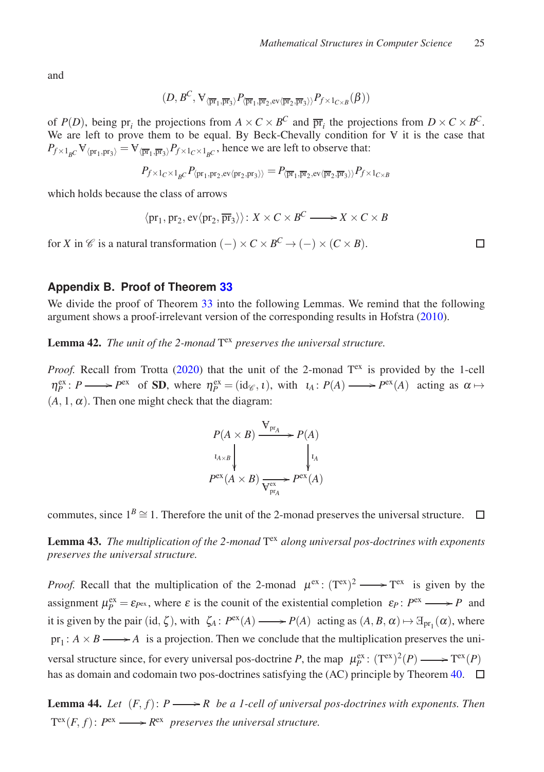and

$$
(D,B^C,\forall_{\langle \overline{\mathrm{pr}}_1,\overline{\mathrm{pr}}_3\rangle} P_{\langle \overline{\mathrm{pr}}_1,\overline{\mathrm{pr}}_2,\mathrm{ev}\langle \overline{\mathrm{pr}}_2,\overline{\mathrm{pr}}_3\rangle\rangle} P_{f\times 1_{C\times B}}(\beta))
$$

of  $P(D)$ , being  $pr_i$  the projections from  $A \times C \times B^C$  and  $\overline{pr}_i$  the projections from  $D \times C \times B^C$ . We are left to prove them to be equal. By Beck-Chevally condition for  $\nabla$  it is the case that  $P_{f \times 1_{B}C}$   $\forall$ <sub>(pr<sub>1</sub>,pr<sub>3</sub>)</sub> =  $\forall$ <sub>( $\overline{p_{f_1}}, \overline{p_{f_3}}$ ) $P_{f \times 1_C \times 1_{B}C}$ , hence we are left to observe that:</sub>

$$
P_{f\times 1_C\times 1_{\underline{B}C}} P_{\langle \mathrm{pr}_1, \mathrm{pr}_2, \mathrm{ev}\langle \mathrm{pr}_2, \mathrm{pr}_3 \rangle \rangle} = P_{\langle \overline{\mathrm{pr}}_1, \overline{\mathrm{pr}}_2, \mathrm{ev}\langle \overline{\mathrm{pr}}_2, \overline{\mathrm{pr}}_3 \rangle \rangle} P_{f\times 1_{C\times B}}
$$

which holds because the class of arrows

$$
\langle pr_1, pr_2, ev \langle pr_2, \overline{pr}_3 \rangle \rangle : X \times C \times B^C \longrightarrow X \times C \times B
$$

for *X* in  $\mathscr C$  is a natural transformation  $(-) \times C \times B^C \to (-) \times (C \times B)$ .

## <span id="page-24-0"></span>**Appendix B. Proof of Theorem [33](#page-18-1)**

We divide the proof of Theorem [33](#page-18-1) into the following Lemmas. We remind that the following argument shows a proof-irrelevant version of the corresponding results in Hofstra [\(2010](#page-21-0)).

Lemma 42. The unit of the 2-monad T<sup>ex</sup> preserves the universal structure.

*Proof.* Recall from Trotta [\(2020\)](#page-22-0) that the unit of the 2-monad  $T<sup>ex</sup>$  is provided by the 1-cell  $\eta_P^{\text{ex}}: P \longrightarrow P^{\text{ex}}$  of **SD**, where  $\eta_P^{\text{ex}} = (\text{id}_{\mathscr{C}}, \iota)$ , with  $\iota_A: P(A) \longrightarrow P^{\text{ex}}(A)$  acting as  $\alpha \mapsto$  $(A, 1, \alpha)$ . Then one might check that the diagram:

$$
P(A \times B) \xrightarrow{\mathbf{V}_{\text{pr}_A}} P(A)
$$
  
\n
$$
\downarrow^{l_{A \times B}} \qquad \qquad l_A
$$
  
\n
$$
P^{\text{ex}}(A \times B) \xrightarrow{\mathbf{V}_{\text{pr}_A}} P^{\text{ex}}(A)
$$

commutes, since  $1^B \cong 1$ . Therefore the unit of the 2-monad preserves the universal structure.  $\Box$ 

Lemma 43. The multiplication of the 2-monad T<sup>ex</sup> along universal pos-doctrines with exponents *preserves the universal structure.*

*Proof.* Recall that the multiplication of the 2-monad  $\mu^{ex}$ :  $(T^{ex})^2 \longrightarrow T^{ex}$  is given by the assignment  $\mu_P^{\text{ex}} = \varepsilon_{P^{\text{ex}}}$ , where  $\varepsilon$  is the counit of the existential completion  $\varepsilon_P : P^{\text{ex}} \longrightarrow P$  and it is given by the pair (id,  $\zeta$ ), with  $\zeta_A$ :  $P^{\text{ex}}(A) \longrightarrow P(A)$  acting as  $(A, B, \alpha) \mapsto \exists_{pr_1}(\alpha)$ , where  $pr_1: A \times B \longrightarrow A$  is a projection. Then we conclude that the multiplication preserves the universal structure since, for every universal pos-doctrine *P*, the map  $\mu_P^{\text{ex}}$ :  $(T^{\text{ex}})^2(P) \longrightarrow T^{\text{ex}}(P)$ has as domain and codomain two pos-doctrines satisfying the (AC) principle by Theorem [40.](#page-20-0)  $\Box$ 

**Lemma 44.** Let  $(F, f): P \longrightarrow R$  be a 1-cell of universal pos-doctrines with exponents. Then  $T^{ex}(F, f)$ :  $P^{ex} \longrightarrow R^{ex}$  preserves the universal structure.

 $\Box$